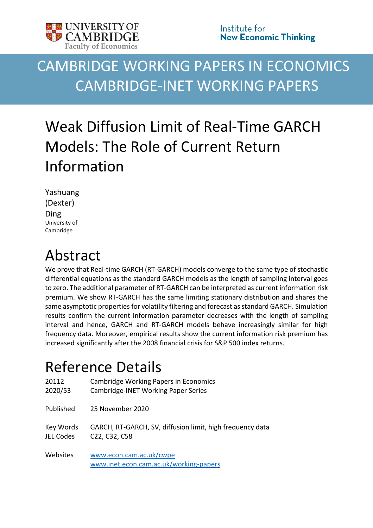

# CAMBRIDGE WORKING PAPERS IN ECONOMICS CAMBRIDGE-INET WORKING PAPERS

# Weak Diffusion Limit of Real-Time GARCH Models: The Role of Current Return Information

Yashuang (Dexter) Ding University of Cambridge

## Abstract

We prove that Real-time GARCH (RT-GARCH) models converge to the same type of stochastic differential equations as the standard GARCH models as the length of sampling interval goes to zero. The additional parameter of RT-GARCH can be interpreted as current information risk premium. We show RT-GARCH has the same limiting stationary distribution and shares the same asymptotic properties for volatility filtering and forecast as standard GARCH. Simulation results confirm the current information parameter decreases with the length of sampling interval and hence, GARCH and RT-GARCH models behave increasingly similar for high frequency data. Moreover, empirical results show the current information risk premium has increased significantly after the 2008 financial crisis for S&P 500 index returns.

## Reference Details

| 20112            | <b>Cambridge Working Papers in Economics</b>                      |
|------------------|-------------------------------------------------------------------|
| 2020/53          | <b>Cambridge-INET Working Paper Series</b>                        |
| Published        | 25 November 2020                                                  |
| Key Words        | GARCH, RT-GARCH, SV, diffusion limit, high frequency data         |
| <b>JEL Codes</b> | C <sub>22</sub> , C <sub>32</sub> , C <sub>58</sub>               |
| Websites         | www.econ.cam.ac.uk/cwpe<br>www.inet.econ.cam.ac.uk/working-papers |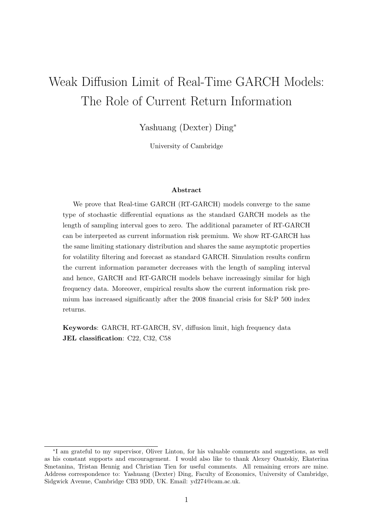## Weak Diffusion Limit of Real-Time GARCH Models: The Role of Current Return Information

Yashuang (Dexter) Ding<sup>∗</sup>

University of Cambridge

#### Abstract

We prove that Real-time GARCH (RT-GARCH) models converge to the same type of stochastic differential equations as the standard GARCH models as the length of sampling interval goes to zero. The additional parameter of RT-GARCH can be interpreted as current information risk premium. We show RT-GARCH has the same limiting stationary distribution and shares the same asymptotic properties for volatility filtering and forecast as standard GARCH. Simulation results confirm the current information parameter decreases with the length of sampling interval and hence, GARCH and RT-GARCH models behave increasingly similar for high frequency data. Moreover, empirical results show the current information risk premium has increased significantly after the 2008 financial crisis for S&P 500 index returns.

Keywords: GARCH, RT-GARCH, SV, diffusion limit, high frequency data JEL classification: C22, C32, C58

<sup>∗</sup> I am grateful to my supervisor, Oliver Linton, for his valuable comments and suggestions, as well as his constant supports and encouragement. I would also like to thank Alexey Onatskiy, Ekaterina Smetanina, Tristan Hennig and Christian Tien for useful comments. All remaining errors are mine. Address correspondence to: Yashuang (Dexter) Ding, Faculty of Economics, University of Cambridge, Sidgwick Avenue, Cambridge CB3 9DD, UK. Email: yd274@cam.ac.uk.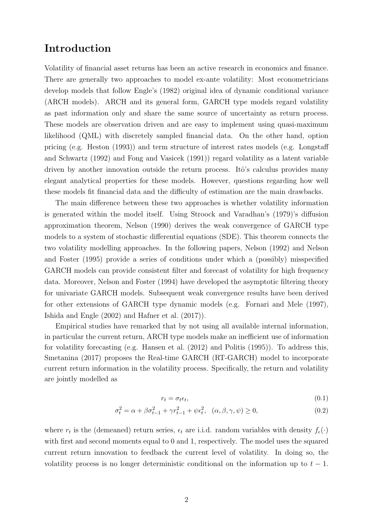## Introduction

Volatility of financial asset returns has been an active research in economics and finance. There are generally two approaches to model ex-ante volatility: Most econometricians develop models that follow Engle's (1982) original idea of dynamic conditional variance (ARCH models). ARCH and its general form, GARCH type models regard volatility as past information only and share the same source of uncertainty as return process. These models are observation driven and are easy to implement using quasi-maximum likelihood (QML) with discretely sampled financial data. On the other hand, option pricing (e.g. Heston (1993)) and term structure of interest rates models (e.g. Longstaff and Schwartz (1992) and Fong and Vasicek (1991)) regard volatility as a latent variable driven by another innovation outside the return process. Itô's calculus provides many elegant analytical properties for these models. However, questions regarding how well these models fit financial data and the difficulty of estimation are the main drawbacks.

The main difference between these two approaches is whether volatility information is generated within the model itself. Using Stroock and Varadhan's (1979)'s diffusion approximation theorem, Nelson (1990) derives the weak convergence of GARCH type models to a system of stochastic differential equations (SDE). This theorem connects the two volatility modelling approaches. In the following papers, Nelson (1992) and Nelson and Foster (1995) provide a series of conditions under which a (possibly) misspecified GARCH models can provide consistent filter and forecast of volatility for high frequency data. Moreover, Nelson and Foster (1994) have developed the asymptotic filtering theory for univariate GARCH models. Subsequent weak convergence results have been derived for other extensions of GARCH type dynamic models (e.g. Fornari and Mele (1997), Ishida and Engle (2002) and Hafner et al. (2017)).

Empirical studies have remarked that by not using all available internal information, in particular the current return, ARCH type models make an inefficient use of information for volatility forecasting (e.g. Hansen et al. (2012) and Politis (1995)). To address this, Smetanina (2017) proposes the Real-time GARCH (RT-GARCH) model to incorporate current return information in the volatility process. Specifically, the return and volatility are jointly modelled as

$$
r_t = \sigma_t \epsilon_t,\tag{0.1}
$$

$$
\sigma_t^2 = \alpha + \beta \sigma_{t-1}^2 + \gamma r_{t-1}^2 + \psi \epsilon_t^2, \quad (\alpha, \beta, \gamma, \psi) \ge 0,
$$
\n(0.2)

where  $r_t$  is the (demeaned) return series,  $\epsilon_t$  are i.i.d. random variables with density  $f_{\epsilon}(\cdot)$ with first and second moments equal to 0 and 1, respectively. The model uses the squared current return innovation to feedback the current level of volatility. In doing so, the volatility process is no longer deterministic conditional on the information up to  $t - 1$ .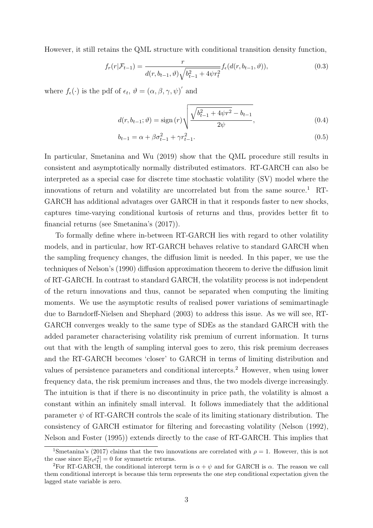However, it still retains the QML structure with conditional transition density function,

$$
f_r(r|\mathcal{F}_{t-1}) = \frac{r}{d(r, b_{t-1}, \vartheta)\sqrt{b_{t-1}^2 + 4\psi r_t^2}} f_{\epsilon}(d(r, b_{t-1}, \vartheta)),
$$
\n(0.3)

where  $f_{\epsilon}(\cdot)$  is the pdf of  $\epsilon_t$ ,  $\vartheta = (\alpha, \beta, \gamma, \psi)'$  and

$$
d(r, b_{t-1}; \vartheta) = \text{sign}(r) \sqrt{\frac{\sqrt{b_{t-1}^2 + 4\psi r^2} - b_{t-1}}{2\psi}}, \tag{0.4}
$$

$$
b_{t-1} = \alpha + \beta \sigma_{t-1}^2 + \gamma r_{t-1}^2. \tag{0.5}
$$

In particular, Smetanina and Wu (2019) show that the QML procedure still results in consistent and asymptotically normally distributed estimators. RT-GARCH can also be interpreted as a special case for discrete time stochastic volatility (SV) model where the innovations of return and volatility are uncorrelated but from the same source.<sup>1</sup> RT-GARCH has additional advatages over GARCH in that it responds faster to new shocks, captures time-varying conditional kurtosis of returns and thus, provides better fit to financial returns (see Smetanina's (2017)).

To formally define where in-between RT-GARCH lies with regard to other volatility models, and in particular, how RT-GARCH behaves relative to standard GARCH when the sampling frequency changes, the diffusion limit is needed. In this paper, we use the techniques of Nelson's (1990) diffusion approximation theorem to derive the diffusion limit of RT-GARCH. In contrast to standard GARCH, the volatility process is not independent of the return innovations and thus, cannot be separated when computing the limiting moments. We use the asymptotic results of realised power variations of semimartinagle due to Barndorff-Nielsen and Shephard (2003) to address this issue. As we will see, RT-GARCH converges weakly to the same type of SDEs as the standard GARCH with the added parameter characterising volatility risk premium of current information. It turns out that with the length of sampling interval goes to zero, this risk premium decreases and the RT-GARCH becomes 'closer' to GARCH in terms of limiting distribution and values of persistence parameters and conditional intercepts.<sup>2</sup> However, when using lower frequency data, the risk premium increases and thus, the two models diverge increasingly. The intuition is that if there is no discontinuity in price path, the volatility is almost a constant within an infinitely small interval. It follows immediately that the additional parameter  $\psi$  of RT-GARCH controls the scale of its limiting stationary distribution. The consistency of GARCH estimator for filtering and forecasting volatility (Nelson (1992), Nelson and Foster (1995)) extends directly to the case of RT-GARCH. This implies that

<sup>&</sup>lt;sup>1</sup>Smetanina's (2017) claims that the two innovations are correlated with  $\rho = 1$ . However, this is not the case since  $\mathbb{E}[\epsilon_t \epsilon_t^2] = 0$  for symmetric returns.

<sup>&</sup>lt;sup>2</sup>For RT-GARCH, the conditional intercept term is  $\alpha + \psi$  and for GARCH is  $\alpha$ . The reason we call them conditional intercept is because this term represents the one step conditional expectation given the lagged state variable is zero.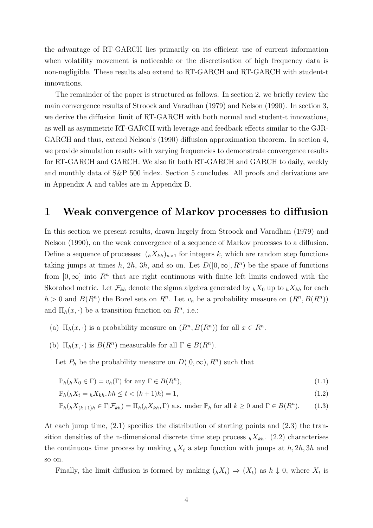the advantage of RT-GARCH lies primarily on its efficient use of current information when volatility movement is noticeable or the discretisation of high frequency data is non-negligible. These results also extend to RT-GARCH and RT-GARCH with student-t innovations.

The remainder of the paper is structured as follows. In section 2, we briefly review the main convergence results of Stroock and Varadhan (1979) and Nelson (1990). In section 3, we derive the diffusion limit of RT-GARCH with both normal and student-t innovations, as well as asymmetric RT-GARCH with leverage and feedback effects similar to the GJR-GARCH and thus, extend Nelson's (1990) diffusion approximation theorem. In section 4, we provide simulation results with varying frequencies to demonstrate convergence results for RT-GARCH and GARCH. We also fit both RT-GARCH and GARCH to daily, weekly and monthly data of S&P 500 index. Section 5 concludes. All proofs and derivations are in Appendix A and tables are in Appendix B.

### 1 Weak convergence of Markov processes to diffusion

In this section we present results, drawn largely from Stroock and Varadhan (1979) and Nelson (1990), on the weak convergence of a sequence of Markov processes to a diffusion. Define a sequence of processes:  $(hX_{kh})_{n\times 1}$  for integers k, which are random step functions taking jumps at times h, 2h, 3h, and so on. Let  $D([0,\infty], R^n)$  be the space of functions from  $[0,\infty]$  into  $R^n$  that are right continuous with finite left limits endowed with the Skorohod metric. Let  $\mathcal{F}_{kh}$  denote the sigma algebra generated by  $_hX_0$  up to  $_hX_{kh}$  for each  $h > 0$  and  $B(R^n)$  the Borel sets on  $R^n$ . Let  $v_h$  be a probability measure on  $(R^n, B(R^n))$ and  $\Pi_h(x, \cdot)$  be a transition function on  $R^n$ , i.e.:

- (a)  $\Pi_h(x, \cdot)$  is a probability measure on  $(R^n, B(R^n))$  for all  $x \in R^n$ .
- (b)  $\Pi_h(x, \cdot)$  is  $B(R^n)$  measurable for all  $\Gamma \in B(R^n)$ .

Let  $P_h$  be the probability measure on  $D([0,\infty), R^n)$  such that

$$
\mathbb{P}_h(_hX_0 \in \Gamma) = v_h(\Gamma) \text{ for any } \Gamma \in B(R^n), \tag{1.1}
$$

$$
\mathbb{P}_h(_hX_t = _hX_{kh}, kh \le t < (k+1)h) = 1,
$$
\n(1.2)

$$
\mathbb{P}_h\left(_hX_{(k+1)h} \in \Gamma | \mathcal{F}_{kh}\right) = \Pi_h\left(_hX_{kh}, \Gamma\right) \text{ a.s. under } \mathbb{P}_h \text{ for all } k \ge 0 \text{ and } \Gamma \in B(R^n). \tag{1.3}
$$

At each jump time, (2.1) specifies the distribution of starting points and (2.3) the transition densities of the n-dimensional discrete time step process  $_hX_{kh}$ . (2.2) characterises the continuous time process by making  $_hX_t$  a step function with jumps at  $h, 2h, 3h$  and so on.

Finally, the limit diffusion is formed by making  $({}_hX_t) \Rightarrow (X_t)$  as  $h \downarrow 0$ , where  $X_t$  is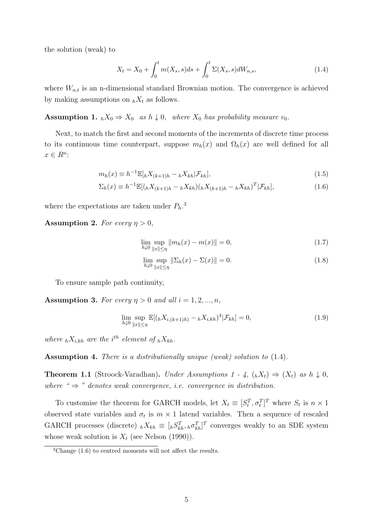the solution (weak) to

$$
X_t = X_0 + \int_0^t m(X_s, s)ds + \int_0^t \Sigma(X_s, s)dW_{n,s},
$$
\n(1.4)

where  $W_{n,t}$  is an n-dimensional standard Brownian motion. The convergence is achieved by making assumptions on  $_hX_t$  as follows.

**Assumption 1.**  $_hX_0 \Rightarrow X_0$  as  $h \downarrow 0$ , where  $X_0$  has probability measure  $v_0$ .

Next, to match the first and second moments of the increments of discrete time process to its continuous time counterpart, suppose  $m_h(x)$  and  $\Omega_h(x)$  are well defined for all  $x \in R^n$ :

$$
m_h(x) \equiv h^{-1} \mathbb{E}[hX_{(k+1)h} - hX_{kh}|\mathcal{F}_{kh}], \qquad (1.5)
$$

$$
\Sigma_h(x) \equiv h^{-1} \mathbb{E}[(hX_{(k+1)h} - hX_{kh})(hX_{(k+1)h} - hX_{kh})^T | \mathcal{F}_{kh}],
$$
\n(1.6)

where the expectations are taken under  $P_h$ <sup>3</sup>.

**Assumption 2.** For every  $\eta > 0$ ,

$$
\lim_{h \downarrow 0} \sup_{\|x\| \le \eta} \|m_h(x) - m(x)\| = 0,\tag{1.7}
$$

$$
\lim_{h \downarrow 0} \sup_{\|x\| \le \eta} \|\Sigma_h(x) - \Sigma(x)\| = 0.
$$
\n(1.8)

To ensure sample path continuity,

Assumption 3. For every  $\eta > 0$  and all  $i = 1, 2, ..., n$ ,

$$
\lim_{h \downarrow 0} \sup_{\|x\| \le \eta} \mathbb{E}[(hX_{i,(k+1)h}) - hX_{i,kh})^4 | \mathcal{F}_{kh}] = 0,
$$
\n(1.9)

where  ${}_{h}X_{i,kh}$  are the i<sup>th</sup> element of  ${}_{h}X_{kh}$ .

Assumption 4. There is a distributionally unique (weak) solution to  $(1.4)$ .

**Theorem 1.1** (Stroock-Varadhan). Under Assumptions  $1 - 4$ ,  $\lambda_k$   $(X_t) \Rightarrow (X_t)$  as  $h \downarrow 0$ , where " $\Rightarrow$ " denotes weak convergence, i.e. convergence in distribution.

To customise the theorem for GARCH models, let  $X_t \equiv [S_t^T, \sigma_t^T]^T$  where  $S_t$  is  $n \times 1$ observed state variables and  $\sigma_t$  is  $m \times 1$  latend variables. Then a sequence of rescaled GARCH processes (discrete)  $_h X_{kh} \equiv [hS_{kh}^T, h\sigma_{kh}^T]^T$  converges weakly to an SDE system whose weak solution is  $X_t$  (see Nelson (1990)).

 ${}^{3}$ Change (1.6) to centred moments will not affect the results.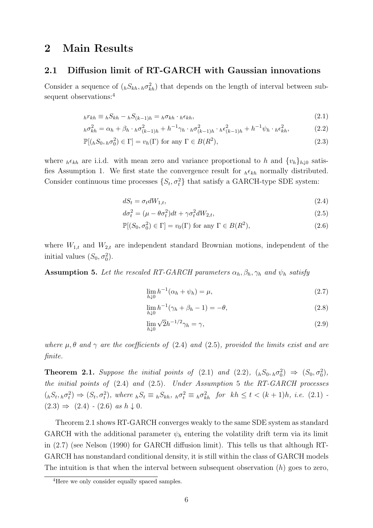### 2 Main Results

#### 2.1 Diffusion limit of RT-GARCH with Gaussian innovations

Consider a sequence of  $({}_{h}S_{kh}, {_{h}\sigma_{kh}^2})$  that depends on the length of interval between subsequent observations:<sup>4</sup>

$$
{}_{h}r_{kh} \equiv {}_{h}S_{kh} - {}_{h}S_{(k-1)h} = {}_{h}\sigma_{kh} \cdot {}_{h}\epsilon_{kh}, \qquad (2.1)
$$

$$
{}_{h}\sigma_{kh}^{2} = \alpha_{h} + \beta_{h} \cdot {}_{h}\sigma_{(k-1)h}^{2} + h^{-1}\gamma_{h} \cdot {}_{h}\sigma_{(k-1)h}^{2} \cdot {}_{h}\epsilon_{(k-1)h}^{2} + h^{-1}\psi_{h} \cdot {}_{h}\epsilon_{kh}^{2},
$$
\n(2.2)

$$
\mathbb{P}[(hS_0, h\sigma_0^2) \in \Gamma] = v_h(\Gamma) \text{ for any } \Gamma \in B(R^2),\tag{2.3}
$$

where  $h \epsilon_{kh}$  are i.i.d. with mean zero and variance proportional to h and  $\{v_h\}_{h\downarrow 0}$  satisfies Assumption 1. We first state the convergence result for  ${}_{h}\epsilon_{kh}$  normally distributed. Consider continuous time processes  $\{S_t, \sigma_t^2\}$  that satisfy a GARCH-type SDE system:

$$
dS_t = \sigma_t dW_{1,t},\tag{2.4}
$$

$$
d\sigma_t^2 = (\mu - \theta \sigma_t^2)dt + \gamma \sigma_t^2 dW_{2,t},
$$
\n(2.5)

$$
\mathbb{P}[(S_0, \sigma_0^2) \in \Gamma] = v_0(\Gamma) \text{ for any } \Gamma \in B(R^2),\tag{2.6}
$$

where  $W_{1,t}$  and  $W_{2,t}$  are independent standard Brownian motions, independent of the initial values  $(S_0, \sigma_0^2)$ .

**Assumption 5.** Let the rescaled RT-GARCH parameters  $\alpha_h, \beta_h, \gamma_h$  and  $\psi_h$  satisfy

$$
\lim_{h \downarrow 0} h^{-1}(\alpha_h + \psi_h) = \mu,\tag{2.7}
$$

$$
\lim_{h \downarrow 0} h^{-1}(\gamma_h + \beta_h - 1) = -\theta,\tag{2.8}
$$

$$
\lim_{h \downarrow 0} \sqrt{2}h^{-1/2}\gamma_h = \gamma,\tag{2.9}
$$

where  $\mu$ ,  $\theta$  and  $\gamma$  are the coefficients of (2.4) and (2.5), provided the limits exist and are finite.

**Theorem 2.1.** Suppose the initial points of (2.1) and (2.2),  $({}_hS_0, {}_h\sigma_0^2) \Rightarrow (S_0, \sigma_0^2)$ , the initial points of  $(2.4)$  and  $(2.5)$ . Under Assumption 5 the RT-GARCH processes  $(k_1(k_1, k_1 k_1 k_2 k_1 k_2 k_2 k_3 k_4 k_5 k_5 k_5 k_6 k_7 k_8 k_8 k_9 k_1 k_1 k_2 k_4 k_5 k_7 k_8 k_9 k_1 k_1 k_2 k_4 k_5 k_6 k_1 k_1 k_2 k_4 k_1 k_2 k_3 k_4 k_5 k_1 k_2 k_4 k_1 k_2 k_4 k_1 k_2 k_2 k_3 k_4 k_5 k_1 k_2 k_3 k_4 k_1 k_2 k_4 k_1 k_2 k_4 k_1 k_2 k_4 k_1 k_2 k_4 k_1 k_2 k_2 k_3$  $(2.3) \Rightarrow (2.4) - (2.6) \text{ as } h \downarrow 0.$ 

Theorem 2.1 shows RT-GARCH converges weakly to the same SDE system as standard GARCH with the additional parameter  $\psi_h$  entering the volatility drift term via its limit in (2.7) (see Nelson (1990) for GARCH diffusion limit). This tells us that although RT-GARCH has nonstandard conditional density, it is still within the class of GARCH models The intuition is that when the interval between subsequent observation  $(h)$  goes to zero,

<sup>&</sup>lt;sup>4</sup>Here we only consider equally spaced samples.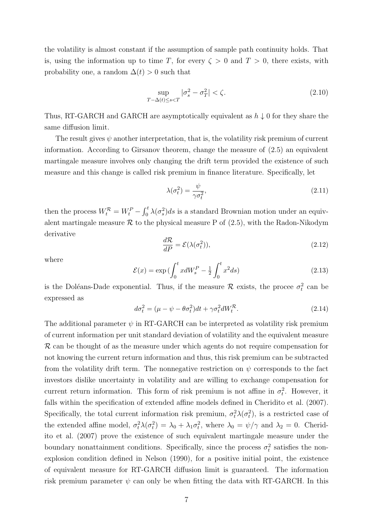the volatility is almost constant if the assumption of sample path continuity holds. That is, using the information up to time T, for every  $\zeta > 0$  and  $T > 0$ , there exists, with probability one, a random  $\Delta(t) > 0$  such that

$$
\sup_{T-\Delta(t)\le s
$$

Thus, RT-GARCH and GARCH are asymptotically equivalent as  $h \downarrow 0$  for they share the same diffusion limit.

The result gives  $\psi$  another interpretation, that is, the volatility risk premium of current information. According to Girsanov theorem, change the measure of (2.5) an equivalent martingale measure involves only changing the drift term provided the existence of such measure and this change is called risk premium in finance literature. Specifically, let

$$
\lambda(\sigma_t^2) = \frac{\psi}{\gamma \sigma_t^2},\tag{2.11}
$$

then the process  $W_t^{\mathcal{R}} = W_t^P - \int_0^t \lambda(\sigma_s^2) ds$  is a standard Brownian motion under an equivalent martingale measure  $\mathcal R$  to the physical measure P of (2.5), with the Radon-Nikodym derivative

$$
\frac{d\mathcal{R}}{dP} = \mathcal{E}(\lambda(\sigma_t^2)),\tag{2.12}
$$

where

$$
\mathcal{E}(x) = \exp\left(\int_0^t x dW_s^P - \frac{1}{2} \int_0^t x^2 ds\right)
$$
 (2.13)

is the Doléans-Dade exponential. Thus, if the measure  $\mathcal R$  exists, the procee  $\sigma_t^2$  can be expressed as

$$
d\sigma_t^2 = (\mu - \psi - \theta \sigma_t^2)dt + \gamma \sigma_t^2 dW_t^{\mathcal{R}}.
$$
\n(2.14)

The additional parameter  $\psi$  in RT-GARCH can be interpreted as volatility risk premium of current information per unit standard deviation of volatility and the equivalent measure R can be thought of as the measure under which agents do not require compensation for not knowing the current return information and thus, this risk premium can be subtracted from the volatility drift term. The nonnegative restriction on  $\psi$  corresponds to the fact investors dislike uncertainty in volatility and are willing to exchange compensation for current return information. This form of risk premium is not affine in  $\sigma_t^2$ . However, it falls within the specification of extended affine models defined in Cheridito et al. (2007). Specifically, the total current information risk premium,  $\sigma_t^2 \lambda(\sigma_t^2)$ , is a restricted case of the extended affine model,  $\sigma_t^2 \lambda(\sigma_t^2) = \lambda_0 + \lambda_1 \sigma_t^2$ , where  $\lambda_0 = \psi/\gamma$  and  $\lambda_2 = 0$ . Cheridito et al. (2007) prove the existence of such equivalent martingale measure under the boundary nonattainment conditions. Specifically, since the process  $\sigma_t^2$  satisfies the nonexplosion condition defined in Nelson (1990), for a positive initial point, the existence of equivalent measure for RT-GARCH diffusion limit is guaranteed. The information risk premium parameter  $\psi$  can only be when fitting the data with RT-GARCH. In this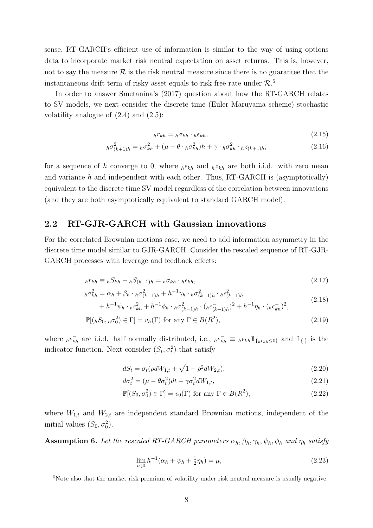sense, RT-GARCH's efficient use of information is similar to the way of using options data to incorporate market risk neutral expectation on asset returns. This is, however, not to say the measure  $\mathcal R$  is the risk neutral measure since there is no guarantee that the instantaneous drift term of risky asset equals to risk free rate under  $\mathcal{R}$ .<sup>5</sup>

In order to answer Smetanina's (2017) question about how the RT-GARCH relates to SV models, we next consider the discrete time (Euler Maruyama scheme) stochastic volatility analogue of  $(2.4)$  and  $(2.5)$ :

$$
{}_{h}r_{kh} = {}_{h}\sigma_{kh} \cdot {}_{h}\epsilon_{kh}, \qquad (2.15)
$$

$$
{}_h\sigma^2_{(k+1)h} = {}_h\sigma^2_{kh} + (\mu - \theta \cdot {}_h\sigma^2_{kh})h + \gamma \cdot {}_h\sigma^2_{kh} \cdot {}_hz_{(k+1)h},\tag{2.16}
$$

for a sequence of h converge to 0, where  $h \epsilon_{kh}$  and  $h z_{kh}$  are both i.i.d. with zero mean and variance  $h$  and independent with each other. Thus, RT-GARCH is (asymptotically) equivalent to the discrete time SV model regardless of the correlation between innovations (and they are both asymptotically equivalent to standard GARCH model).

#### 2.2 RT-GJR-GARCH with Gaussian innovations

For the correlated Brownian motions case, we need to add information asymmetry in the discrete time model similar to GJR-GARCH. Consider the rescaled sequence of RT-GJR-GARCH processes with leverage and feedback effects:

$$
{}_{h}r_{kh} \equiv {}_{h}S_{kh} - {}_{h}S_{(k-1)h} = {}_{h}\sigma_{kh} \cdot {}_{h}\epsilon_{kh}, \qquad (2.17)
$$

$$
{}_{h}\sigma_{kh}^{2} = \alpha_{h} + \beta_{h} \cdot {}_{h}\sigma_{(k-1)h}^{2} + h^{-1}\gamma_{h} \cdot {}_{h}\sigma_{(k-1)h}^{2} \cdot {}_{h}\epsilon_{(k-1)h}^{2}
$$
\n
$$
(2.18)
$$

$$
+ h^{-1} \psi_h \cdot h \epsilon_{kh}^2 + h^{-1} \phi_h \cdot h \sigma_{(k-1)h}^2 \cdot (h \epsilon_{(k-1)h}^-)^2 + h^{-1} \eta_h \cdot (h \epsilon_{kh}^-)^2,
$$

$$
\mathbb{P}[(hS_0, h\sigma_0^2) \in \Gamma] = v_h(\Gamma) \text{ for any } \Gamma \in B(R^2),\tag{2.19}
$$

where  $_{h}\epsilon_{kh}^{-}$  are i.i.d. half normally distributed, i.e.,  $_{h}\epsilon_{kh}^{-} \equiv {}_{h}\epsilon_{kh}\mathbb{1}_{\{h\epsilon_{kh}\leq 0\}}$  and  $\mathbb{1}_{\{\cdot\}}$  is the indicator function. Next consider  $(S_t, \sigma_t^2)$  that satisfy

$$
dS_t = \sigma_t(\rho dW_{1,t} + \sqrt{1 - \rho^2} dW_{2,t}),
$$
\n(2.20)

$$
d\sigma_t^2 = (\mu - \theta \sigma_t^2)dt + \gamma \sigma_t^2 dW_{1,t},
$$
\n(2.21)

$$
\mathbb{P}[(S_0, \sigma_0^2) \in \Gamma] = v_0(\Gamma) \text{ for any } \Gamma \in B(R^2),\tag{2.22}
$$

where  $W_{1,t}$  and  $W_{2,t}$  are independent standard Brownian motions, independent of the initial values  $(S_0, \sigma_0^2)$ .

**Assumption 6.** Let the rescaled RT-GARCH parameters  $\alpha_h$ ,  $\beta_h$ ,  $\gamma_h$ ,  $\psi_h$ ,  $\phi_h$  and  $\eta_h$  satisfy

$$
\lim_{h \downarrow 0} h^{-1}(\alpha_h + \psi_h + \frac{1}{2}\eta_h) = \mu,
$$
\n(2.23)

<sup>5</sup>Note also that the market risk premium of volatility under risk neutral measure is usually negative.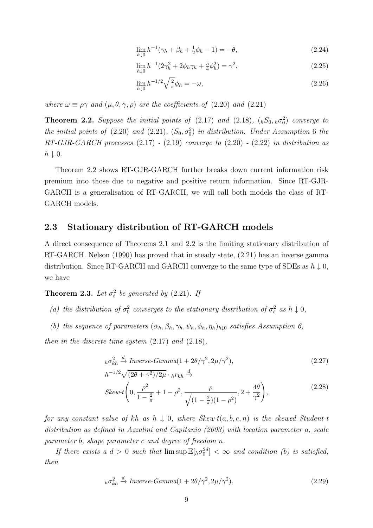$$
\lim_{h \downarrow 0} h^{-1}(\gamma_h + \beta_h + \frac{1}{2}\phi_h - 1) = -\theta,\tag{2.24}
$$

$$
\lim_{h \downarrow 0} h^{-1} (2\gamma_h^2 + 2\phi_h \gamma_h + \frac{5}{4} \phi_h^2) = \gamma^2, \tag{2.25}
$$

$$
\lim_{h \downarrow 0} h^{-1/2} \sqrt{\frac{2}{\pi}} \phi_h = -\omega,\tag{2.26}
$$

where  $\omega \equiv \rho \gamma$  and  $(\mu, \theta, \gamma, \rho)$  are the coefficients of (2.20) and (2.21)

**Theorem 2.2.** Suppose the initial points of  $(2.17)$  and  $(2.18)$ ,  $({}_{h}S_{0}, {}_{h}\sigma_{0}^{2})$  converge to the initial points of  $(2.20)$  and  $(2.21)$ ,  $(S_0, \sigma_0^2)$  in distribution. Under Assumption 6 the  $RT\text{-}GJR\text{-}GARCH$  processes  $(2.17)$  -  $(2.19)$  converge to  $(2.20)$  -  $(2.22)$  in distribution as  $h \downarrow 0.$ 

Theorem 2.2 shows RT-GJR-GARCH further breaks down current information risk premium into those due to negative and positive return information. Since RT-GJR-GARCH is a generalisation of RT-GARCH, we will call both models the class of RT-GARCH models.

#### 2.3 Stationary distribution of RT-GARCH models

A direct consequence of Theorems 2.1 and 2.2 is the limiting stationary distribution of RT-GARCH. Nelson (1990) has proved that in steady state, (2.21) has an inverse gamma distribution. Since RT-GARCH and GARCH converge to the same type of SDEs as  $h \downarrow 0$ , we have

**Theorem 2.3.** Let  $\sigma_t^2$  be generated by (2.21). If

- (a) the distribution of  $\sigma_0^2$  converges to the stationary distribution of  $\sigma_t^2$  as  $h \downarrow 0$ ,
- (b) the sequence of parameters  $(\alpha_h, \beta_h, \gamma_h, \psi_h, \phi_h, \eta_h)_{h\downarrow 0}$  satisfies Assumption 6,

then in the discrete time system  $(2.17)$  and  $(2.18)$ ,

$$
h\sigma_{kh}^2 \stackrel{d}{\rightarrow} Inverse-Gamma(1+2\theta/\gamma^2, 2\mu/\gamma^2),\tag{2.27}
$$

$$
h^{-1/2}\sqrt{(2\theta + \gamma^2)/2\mu} \cdot h r_{kh} \xrightarrow{d}
$$
  
Skew-t $\left(0, \frac{\rho^2}{1 - \frac{2}{\pi}} + 1 - \rho^2, \frac{\rho}{\sqrt{(1 - \frac{2}{\pi})(1 - \rho^2)}}, 2 + \frac{4\theta}{\gamma^2}\right)$ , (2.28)

for any constant value of kh as  $h \downarrow 0$ , where Skew-t(a, b, c, n) is the skewed Student-t distribution as defined in Azzalini and Capitanio (2003) with location parameter a, scale parameter b, shape parameter c and degree of freedom n.

If there exists a  $d > 0$  such that  $\limsup \mathbb{E}[h\sigma_0^{2d}] < \infty$  and condition (b) is satisfied, then

$$
{}_{h}\sigma_{kh}^2 \xrightarrow{d} Inverse-Gamma(1+2\theta/\gamma^2, 2\mu/\gamma^2), \qquad (2.29)
$$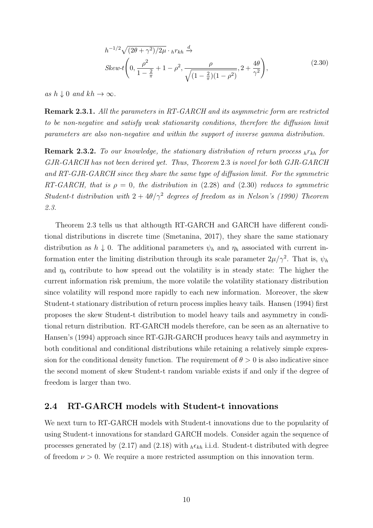$$
h^{-1/2}\sqrt{(2\theta + \gamma^2)/2\mu} \cdot h r_{kh} \xrightarrow{d}
$$
  
Skew-t $\left(0, \frac{\rho^2}{1 - \frac{2}{\pi}} + 1 - \rho^2, \frac{\rho}{\sqrt{(1 - \frac{2}{\pi})(1 - \rho^2)}}, 2 + \frac{4\theta}{\gamma^2}\right)$ , (2.30)

as  $h \downarrow 0$  and  $kh \to \infty$ .

Remark 2.3.1. All the parameters in RT-GARCH and its asymmetric form are restricted to be non-negative and satisfy weak stationarity conditions, therefore the diffusion limit parameters are also non-negative and within the support of inverse gamma distribution.

**Remark 2.3.2.** To our knowledge, the stationary distribution of return process  $h r_{kh}$  for GJR-GARCH has not been derived yet. Thus, Theorem 2.3 is novel for both GJR-GARCH and RT-GJR-GARCH since they share the same type of diffusion limit. For the symmetric RT-GARCH, that is  $\rho = 0$ , the distribution in (2.28) and (2.30) reduces to symmetric Student-t distribution with  $2 + 4\theta/\gamma^2$  degrees of freedom as in Nelson's (1990) Theorem 2.3.

Theorem 2.3 tells us that althougth RT-GARCH and GARCH have different conditional distributions in discrete time (Smetanina, 2017), they share the same stationary distribution as  $h \downarrow 0$ . The additional parameters  $\psi_h$  and  $\eta_h$  associated with current information enter the limiting distribution through its scale parameter  $2\mu/\gamma^2$ . That is,  $\psi_h$ and  $\eta_h$  contribute to how spread out the volatility is in steady state: The higher the current information risk premium, the more volatile the volatility stationary distribution since volatility will respond more rapidly to each new information. Moreover, the skew Student-t stationary distribution of return process implies heavy tails. Hansen (1994) first proposes the skew Student-t distribution to model heavy tails and asymmetry in conditional return distribution. RT-GARCH models therefore, can be seen as an alternative to Hansen's (1994) approach since RT-GJR-GARCH produces heavy tails and asymmetry in both conditional and conditional distributions while retaining a relatively simple expression for the conditional density function. The requirement of  $\theta > 0$  is also indicative since the second moment of skew Student-t random variable exists if and only if the degree of freedom is larger than two.

#### 2.4 RT-GARCH models with Student-t innovations

We next turn to RT-GARCH models with Student-t innovations due to the popularity of using Student-t innovations for standard GARCH models. Consider again the sequence of processes generated by (2.17) and (2.18) with  $_{h} \epsilon_{kh}$  i.i.d. Student-t distributed with degree of freedom  $\nu > 0$ . We require a more restricted assumption on this innovation term.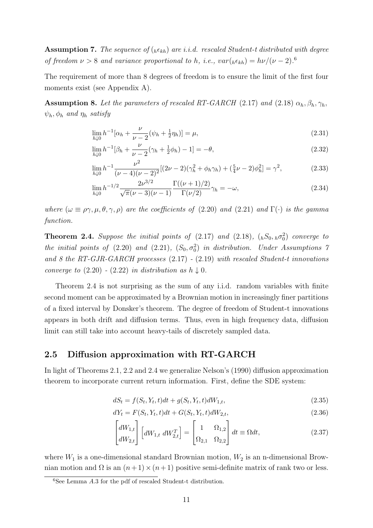**Assumption 7.** The sequence of  $({}_{h} \epsilon_{kh})$  are i.i.d. rescaled Student-t distributed with degree of freedom  $\nu > 8$  and variance proportional to h, i.e.,  $var({}_{h} \epsilon_{kh}) = h\nu/(\nu - 2)^{6}$ .

The requirement of more than 8 degrees of freedom is to ensure the limit of the first four moments exist (see Appendix A).

**Assumption 8.** Let the parameters of rescaled RT-GARCH (2.17) and (2.18)  $\alpha_h, \beta_h, \gamma_h$ ,  $\psi_h$ ,  $\phi_h$  and  $\eta_h$  satisfy

$$
\lim_{h \downarrow 0} h^{-1} [\alpha_h + \frac{\nu}{\nu - 2} (\psi_h + \frac{1}{2} \eta_h)] = \mu,
$$
\n(2.31)

$$
\lim_{h \downarrow 0} h^{-1} [\beta_h + \frac{\nu}{\nu - 2} (\gamma_h + \frac{1}{2} \phi_h) - 1] = -\theta, \tag{2.32}
$$

$$
\lim_{h \downarrow 0} h^{-1} \frac{\nu^2}{(\nu - 4)(\nu - 2)^2} [(2\nu - 2)(\gamma_h^2 + \phi_h \gamma_h) + (\frac{5}{4}\nu - 2)\phi_h^2] = \gamma^2,\tag{2.33}
$$

$$
\lim_{h \downarrow 0} h^{-1/2} \frac{2\nu^{3/2}}{\sqrt{\pi} (\nu - 3)(\nu - 1)} \frac{\Gamma((\nu + 1)/2)}{\Gamma(\nu/2)} \gamma_h = -\omega,
$$
\n(2.34)

where  $(\omega \equiv \rho \gamma, \mu, \theta, \gamma, \rho)$  are the coefficients of (2.20) and (2.21) and  $\Gamma(\cdot)$  is the gamma function.

**Theorem 2.4.** Suppose the initial points of  $(2.17)$  and  $(2.18)$ ,  $({}_{h}S_{0}, {}_{h}\sigma_{0}^{2})$  converge to the initial points of  $(2.20)$  and  $(2.21)$ ,  $(S_0, \sigma_0^2)$  in distribution. Under Assumptions 7 and 8 the RT-GJR-GARCH processes (2.17) - (2.19) with rescaled Student-t innovations converge to  $(2.20)$  -  $(2.22)$  in distribution as  $h \downarrow 0$ .

Theorem 2.4 is not surprising as the sum of any i.i.d. random variables with finite second moment can be approximated by a Brownian motion in increasingly finer partitions of a fixed interval by Donsker's theorem. The degree of freedom of Student-t innovations appears in both drift and diffusion terms. Thus, even in high frequency data, diffusion limit can still take into account heavy-tails of discretely sampled data.

#### 2.5 Diffusion approximation with RT-GARCH

In light of Theorems 2.1, 2.2 and 2.4 we generalize Nelson's (1990) diffusion approximation theorem to incorporate current return information. First, define the SDE system:

$$
dS_t = f(S_t, Y_t, t)dt + g(S_t, Y_t, t)dW_{1,t},
$$
\n(2.35)

$$
dY_t = F(S_t, Y_t, t)dt + G(S_t, Y_t, t)dW_{2,t},
$$
\n(2.36)

$$
\begin{bmatrix} dW_{1,t} \\ dW_{2,t} \end{bmatrix} \begin{bmatrix} dW_{1,t} & dW_{2,t}^T \end{bmatrix} = \begin{bmatrix} 1 & \Omega_{1,2} \\ \Omega_{2,1} & \Omega_{2,2} \end{bmatrix} dt \equiv \Omega dt, \qquad (2.37)
$$

where  $W_1$  is a one-dimensional standard Brownian motion,  $W_2$  is an n-dimensional Brownian motion and  $\Omega$  is an  $(n+1)\times(n+1)$  positive semi-definite matrix of rank two or less.

 ${}^{6}$ See Lemma A.3 for the pdf of rescaled Student-t distribution.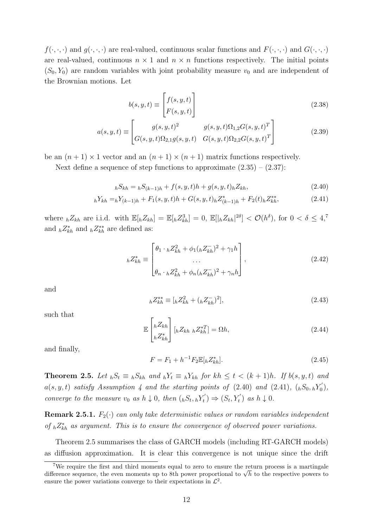$f(\cdot,\cdot,\cdot)$  and  $g(\cdot,\cdot,\cdot)$  are real-valued, continuous scalar functions and  $F(\cdot,\cdot,\cdot)$  and  $G(\cdot,\cdot,\cdot)$ are real-valued, continuous  $n \times 1$  and  $n \times n$  functions respectively. The initial points  $(S_0, Y_0)$  are random variables with joint probability measure  $v_0$  and are independent of the Brownian motions. Let

$$
b(s, y, t) \equiv \begin{bmatrix} f(s, y, t) \\ F(s, y, t) \end{bmatrix}
$$
 (2.38)

$$
a(s, y, t) \equiv \begin{bmatrix} g(s, y, t)^2 & g(s, y, t)\Omega_{1,2}G(s, y, t)^T\\ G(s, y, t)\Omega_{2,1}g(s, y, t) & G(s, y, t)\Omega_{2,2}G(s, y, t)^T \end{bmatrix}
$$
(2.39)

be an  $(n + 1) \times 1$  vector and an  $(n + 1) \times (n + 1)$  matrix functions respectively.

Next define a sequence of step functions to approximate  $(2.35) - (2.37)$ :

$$
hS_{kh} = hS_{(k-1)h} + f(s, y, t)h + g(s, y, t)hZ_{kh},
$$
\n(2.40)

$$
{}_{h}Y_{kh} = {}_{h}Y_{(k-1)h} + F_1(s, y, t)h + G(s, y, t)h Z_{(k-1)h}^* + F_2(t)h Z_{kh}^{**},
$$
\n(2.41)

where  ${}_{h}Z_{kh}$  are i.i.d. with  $\mathbb{E}[{}_{h}Z_{kh}] = \mathbb{E}[{}_{h}Z_{kh}^{3}] = 0$ ,  $\mathbb{E}[{}_{h}Z_{kh}|^{2\delta}] < \mathcal{O}(h^{\delta})$ , for  $0 < \delta \leq 4$ ,<sup>7</sup> and  $_hZ_{kh}^*$  and  $_hZ_{kh}^{**}$  are defined as:

$$
{}_{h}Z_{kh}^{*} \equiv \begin{bmatrix} \theta_{1} \cdot {}_{h}Z_{kh}^{2} + \phi_{1}({}_{h}Z_{kh}^{-})^{2} + \gamma_{1}h \\ \cdots \\ \theta_{n} \cdot {}_{h}Z_{kh}^{2} + \phi_{n}({}_{h}Z_{kh}^{-})^{2} + \gamma_{n}h \end{bmatrix},
$$
\n(2.42)

and

$$
{}_{h}Z_{kh}^{**} \equiv [{}_{h}Z_{kh}^2 + ({}_{h}Z_{kh}^-)^2], \tag{2.43}
$$

such that

$$
\mathbb{E}\begin{bmatrix} {}_{h}Z_{kh} \\ {}_{h}Z_{kh}^{*} \end{bmatrix}[{}_{h}Z_{kh}{}_{h}Z_{kh}^{*T}] = \Omega h,\tag{2.44}
$$

and finally,

$$
F = F_1 + h^{-1} F_2 \mathbb{E}[hZ_{kh}^*].
$$
\n(2.45)

**Theorem 2.5.** Let  ${}_{h}S_{t} \equiv {}_{h}S_{kh}$  and  ${}_{h}Y_{t} \equiv {}_{h}Y_{kh}$  for  $kh \leq t \leq (k+1)h$ . If  $b(s, y, t)$  and  $a(s, y, t)$  satisfy Assumption 4 and the starting points of (2.40) and (2.41),  $({}_{h}S_{0}, {_{h}Y_{0}})$  $_{0}^{\prime$  $),$ converge to the measure  $v_0$  as  $h \downarrow 0$ , then  $({}_hS_t, {}_hY'_t)$  $s_t^{\prime\prime}$   $\Rightarrow$   $(S_t, Y_t^{\prime})$  as  $h \downarrow 0$ .

**Remark 2.5.1.**  $F_2(\cdot)$  can only take deterministic values or random variables independent of  ${}_{h}Z_{kh}^{*}$  as argument. This is to ensure the convergence of observed power variations.

Theorem 2.5 summarises the class of GARCH models (including RT-GARCH models) as diffusion approximation. It is clear this convergence is not unique since the drift

<sup>7</sup>We require the first and third moments equal to zero to ensure the return process is a martingale We require the first and third moments equal to zero to ensure the return process is a martingale difference sequence, the even moments up to 8th power proportional to  $\sqrt{h}$  to the respective powers to ensure the power variations converge to their expectations in  $\mathcal{L}^2$ .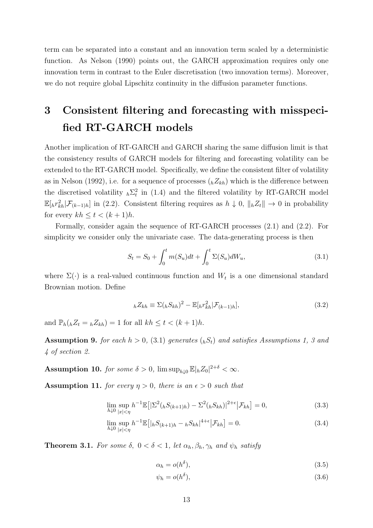term can be separated into a constant and an innovation term scaled by a deterministic function. As Nelson (1990) points out, the GARCH approximation requires only one innovation term in contrast to the Euler discretisation (two innovation terms). Moreover, we do not require global Lipschitz continuity in the diffusion parameter functions.

## 3 Consistent filtering and forecasting with misspecified RT-GARCH models

Another implication of RT-GARCH and GARCH sharing the same diffusion limit is that the consistency results of GARCH models for filtering and forecasting volatility can be extended to the RT-GARCH model. Specifically, we define the consistent filter of volatility as in Nelson (1992), i.e. for a sequence of processes  $({}_{h}Z_{kh})$  which is the difference between the discretised volatility  $_h\Sigma_t^2$  in (1.4) and the filtered volatility by RT-GARCH model  $\mathbb{E}[{}_h r_{kh}^2 | \mathcal{F}_{(k-1)h}]$  in (2.2). Consistent filtering requires as  $h \downarrow 0$ ,  $||{}_h Z_t|| \to 0$  in probability for every  $kh \leq t < (k+1)h$ .

Formally, consider again the sequence of RT-GARCH processes (2.1) and (2.2). For simplicity we consider only the univariate case. The data-generating process is then

$$
S_t = S_0 + \int_0^t m(S_u)dt + \int_0^t \Sigma(S_u)dW_u,
$$
\n(3.1)

where  $\Sigma(\cdot)$  is a real-valued continuous function and  $W_t$  is a one dimensional standard Brownian motion. Define

$$
{}_{h}Z_{kh} \equiv \Sigma ({}_{h}S_{kh})^{2} - \mathbb{E}[{}_{h}r_{kh}^{2}|\mathcal{F}_{(k-1)h}], \qquad (3.2)
$$

and  $\mathbb{P}_h({}_hZ_t = {}_hZ_{kh}) = 1$  for all  $kh \leq t < (k+1)h$ .

**Assumption 9.** for each  $h > 0$ , (3.1) generates  $({}_hS_t)$  and satisfies Assumptions 1, 3 and 4 of section 2.

**Assumption 10.** for some  $\delta > 0$ ,  $\limsup_{h \downarrow 0} \mathbb{E}|_h Z_0|^{2+\delta} < \infty$ .

**Assumption 11.** for every  $\eta > 0$ , there is an  $\epsilon > 0$  such that

$$
\lim_{h \downarrow 0} \sup_{|x| < \eta} h^{-1} \mathbb{E} \big[ |\Sigma^2 ({}_h S_{(k+1)h}) - \Sigma^2 ({}_h S_{kh})|^{2+\epsilon} \big| \mathcal{F}_{kh} \big] = 0,\tag{3.3}
$$

$$
\lim_{h \downarrow 0} \sup_{|x| < \eta} h^{-1} \mathbb{E} \left[ |h S_{(k+1)h} - h S_{kh}|^{4+\epsilon} \, \big| \mathcal{F}_{kh} \right] = 0. \tag{3.4}
$$

**Theorem 3.1.** For some  $\delta$ ,  $0 < \delta < 1$ , let  $\alpha_h, \beta_h, \gamma_h$  and  $\psi_h$  satisfy

$$
\alpha_h = o(h^{\delta}),\tag{3.5}
$$

$$
\psi_h = o(h^{\delta}),\tag{3.6}
$$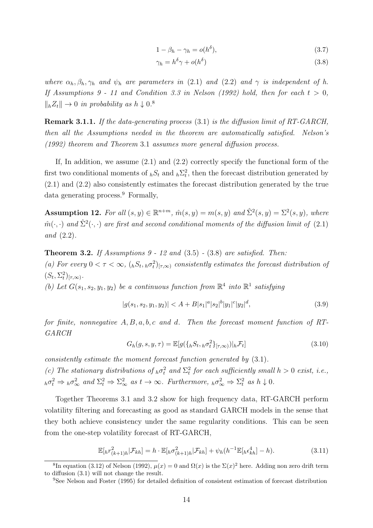$$
1 - \beta_h - \gamma_h = o(h^{\delta}), \tag{3.7}
$$

$$
\gamma_h = h^\delta \gamma + o(h^\delta) \tag{3.8}
$$

where  $\alpha_h$ ,  $\beta_h$ ,  $\gamma_h$  and  $\psi_h$  are parameters in (2.1) and (2.2) and  $\gamma$  is independent of h. If Assumptions 9 - 11 and Condition 3.3 in Nelson (1992) hold, then for each  $t > 0$ ,  $\|hZ_t\| \to 0$  in probability as  $h \downarrow 0$ .<sup>8</sup>

Remark 3.1.1. If the data-generating process (3.1) is the diffusion limit of RT-GARCH, then all the Assumptions needed in the theorem are automatically satisfied. Nelson's (1992) theorem and Theorem 3.1 assumes more general diffusion process.

If, In addition, we assume  $(2.1)$  and  $(2.2)$  correctly specify the functional form of the first two conditional moments of  $_bS_t$  and  $_b\Sigma_t^2$ , then the forecast distribution generated by (2.1) and (2.2) also consistently estimates the forecast distribution generated by the true data generating process.<sup>9</sup> Formally,

**Assumption 12.** For all  $(s, y) \in \mathbb{R}^{n+m}$ ,  $\hat{m}(s, y) = m(s, y)$  and  $\hat{\Sigma}^2(s, y) = \Sigma^2(s, y)$ , where  $\hat{m}(\cdot,\cdot)$  and  $\hat{\Sigma}^2(\cdot,\cdot)$  are first and second conditional moments of the diffusion limit of (2.1) and (2.2).

**Theorem 3.2.** If Assumptions  $9 - 12$  and  $(3.5) - (3.8)$  are satisfied. Then: (a) For every  $0 < \tau < \infty$ ,  $\left( \binom{K_t}{h} \binom{\tau}{l}, \infty \right)$  consistently estimates the forecast distribution of  $(S_t, \Sigma_t^2)_{[\tau, \infty)}$ .

(b) Let  $G(s_1, s_2, y_1, y_2)$  be a continuous function from  $\mathbb{R}^4$  into  $\mathbb{R}^1$  satisfying

$$
|g(s_1, s_2, y_1, y_2)| < A + B|s_1|^a |s_2|^b |y_1|^c |y_2|^d,
$$
\n(3.9)

for finite, nonnegative  $A, B, a, b, c$  and d. Then the forecast moment function of RT-GARCH

$$
G_h(g, s, y, \tau) = \mathbb{E}[g(\lbrace_h S_t, h\sigma_t^2 \rbrace_{[\tau, \infty)})|_h \mathcal{F}_t]
$$
\n(3.10)

consistently estimate the moment forecast function generated by (3.1).

(c) The stationary distributions of  $_h\sigma_t^2$  and  $\Sigma_t^2$  for each sufficiently small  $h > 0$  exist, i.e.,  ${}_{h}\sigma_t^2 \Rightarrow {}_{h}\sigma_{\infty}^2$  and  $\Sigma_t^2 \Rightarrow \Sigma_{\infty}^2$  as  $t \to \infty$ . Furthermore,  ${}_{h}\sigma_{\infty}^2 \Rightarrow \Sigma_t^2$  as  $h \downarrow 0$ .

Together Theorems 3.1 and 3.2 show for high frequency data, RT-GARCH perform volatility filtering and forecasting as good as standard GARCH models in the sense that they both achieve consistency under the same regularity conditions. This can be seen from the one-step volatility forecast of RT-GARCH,

$$
\mathbb{E}[h r_{(k+1)h}^2 | \mathcal{F}_{kh}] = h \cdot \mathbb{E}[h \sigma_{(k+1)h}^2 | \mathcal{F}_{kh}] + \psi_h(h^{-1} \mathbb{E}[h \epsilon_{kh}^4] - h).
$$
 (3.11)

<sup>&</sup>lt;sup>8</sup>In equation (3.12) of Nelson (1992),  $\mu(x) = 0$  and  $\Omega(x)$  is the  $\Sigma(x)^2$  here. Adding non zero drift term to diffusion (3.1) will not change the result.

<sup>9</sup>See Nelson and Foster (1995) for detailed definition of consistent estimation of forecast distribution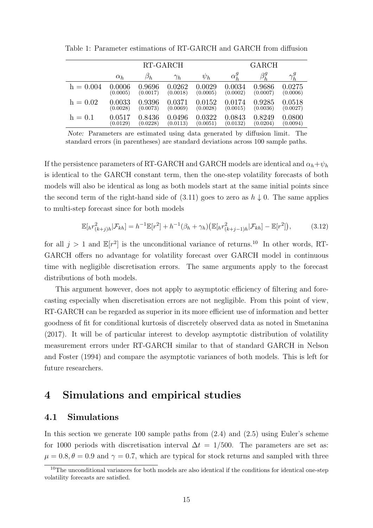|             | RT-GARCH     |           |            |          | GARCH        |             |              |  |
|-------------|--------------|-----------|------------|----------|--------------|-------------|--------------|--|
|             | $\alpha_h$   | $\beta_h$ | $\gamma_h$ | $\psi_h$ | $\alpha_h^g$ | $\beta_h^g$ | $\gamma_h^g$ |  |
| $h = 0.004$ | 0.0006       | 0.9696    | 0.0262     | 0.0029   | 0.0034       | 0.9686      | 0.0275       |  |
|             | (0.0005)     | (0.0017)  | (0.0018)   | (0.0005) | (0.0002)     | (0.0007)    | (0.0006)     |  |
| $h = 0.02$  | $\,0.0033\,$ | 0.9396    | 0.0371     | 0.0152   | 0.0174       | 0.9285      | 0.0518       |  |
|             | (0.0028)     | (0.0073)  | (0.0069)   | (0.0028) | (0.0015)     | (0.0036)    | (0.0027)     |  |
| $h = 0.1$   | 0.0517       | 0.8436    | 0.0496     | 0.0322   | 0.0843       | 0.8249      | 0.0800       |  |
|             | (0.0129)     | (0.0228)  | (0.0113)   | (0.0051) | (0.0132)     | (0.0204)    | (0.0094)     |  |

Table 1: Parameter estimations of RT-GARCH and GARCH from diffusion

Note: Parameters are estimated using data generated by diffusion limit. The standard errors (in parentheses) are standard deviations across 100 sample paths.

If the persistence parameters of RT-GARCH and GARCH models are identical and  $\alpha_h + \psi_h$ is identical to the GARCH constant term, then the one-step volatility forecasts of both models will also be identical as long as both models start at the same initial points since the second term of the right-hand side of  $(3.11)$  goes to zero as  $h \downarrow 0$ . The same applies to multi-step forecast since for both models

$$
\mathbb{E}[hr_{(k+j)h}^2|\mathcal{F}_{kh}] = h^{-1}\mathbb{E}[r^2] + h^{-1}(\beta_h + \gamma_h)\big(\mathbb{E}[hr_{(k+j-1)h}^2|\mathcal{F}_{kh}] - \mathbb{E}[r^2]\big),\tag{3.12}
$$

for all  $j > 1$  and  $\mathbb{E}[r^2]$  is the unconditional variance of returns.<sup>10</sup> In other words, RT-GARCH offers no advantage for volatility forecast over GARCH model in continuous time with negligible discretisation errors. The same arguments apply to the forecast distributions of both models.

This argument however, does not apply to asymptotic efficiency of filtering and forecasting especially when discretisation errors are not negligible. From this point of view, RT-GARCH can be regarded as superior in its more efficient use of information and better goodness of fit for conditional kurtosis of discretely observed data as noted in Smetanina (2017). It will be of particular interest to develop asymptotic distribution of volatility measurement errors under RT-GARCH similar to that of standard GARCH in Nelson and Foster (1994) and compare the asymptotic variances of both models. This is left for future researchers.

## 4 Simulations and empirical studies

#### 4.1 Simulations

In this section we generate 100 sample paths from (2.4) and (2.5) using Euler's scheme for 1000 periods with discretisation interval  $\Delta t = 1/500$ . The parameters are set as:  $\mu = 0.8, \theta = 0.9$  and  $\gamma = 0.7$ , which are typical for stock returns and sampled with three

<sup>&</sup>lt;sup>10</sup>The unconditional variances for both models are also identical if the conditions for identical one-step volatility forecasts are satisfied.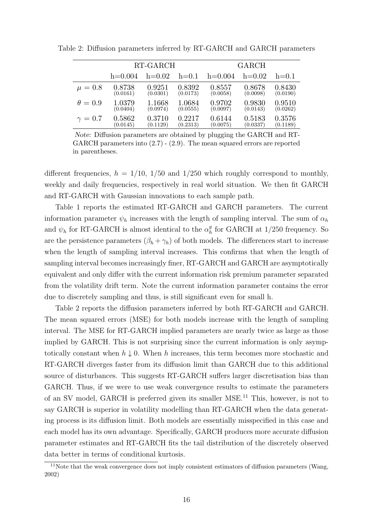|                |           | RT-GARCH |          | <b>GARCH</b> |          |          |  |
|----------------|-----------|----------|----------|--------------|----------|----------|--|
|                | $h=0.004$ | $h=0.02$ | $h=0.1$  | $h=0.004$    | $h=0.02$ | $h=0.1$  |  |
| $\mu = 0.8$    | 0.8738    | 0.9251   | 0.8392   | 0.8557       | 0.8678   | 0.8430   |  |
|                | (0.0161)  | (0.0301) | (0.0173) | (0.0058)     | (0.0098) | (0.0190) |  |
| $\theta = 0.9$ | 1.0379    | 1.1668   | 1.0684   | 0.9702       | 0.9830   | 0.9510   |  |
|                | (0.0404)  | (0.0974) | (0.0555) | (0.0097)     | (0.0143) | (0.0262) |  |
| $\gamma=0.7$   | 0.5862    | 0.3710   | 0.2217   | 0.6144       | 0.5183   | 0.3576   |  |
|                | (0.0145)  | (0.1129) | (0.2313) | (0.0075)     | (0.0337) | (0.1189) |  |

Table 2: Diffusion parameters inferred by RT-GARCH and GARCH parameters

Note: Diffusion parameters are obtained by plugging the GARCH and RT-GARCH parameters into (2.7) - (2.9). The mean squared errors are reported in parentheses.

different frequencies,  $h = 1/10$ ,  $1/50$  and  $1/250$  which roughly correspond to monthly, weekly and daily frequencies, respectively in real world situation. We then fit GARCH and RT-GARCH with Gaussian innovations to each sample path.

Table 1 reports the estimated RT-GARCH and GARCH parameters. The current information parameter  $\psi_h$  increases with the length of sampling interval. The sum of  $\alpha_h$ and  $\psi_h$  for RT-GARCH is almost identical to the  $\alpha_h^g$  $_h^g$  for GARCH at 1/250 frequency. So are the persistence parameters  $(\beta_h + \gamma_h)$  of both models. The differences start to increase when the length of sampling interval increases. This confirms that when the length of sampling interval becomes increasingly finer, RT-GARCH and GARCH are asymptotically equivalent and only differ with the current information risk premium parameter separated from the volatility drift term. Note the current information parameter contains the error due to discretely sampling and thus, is still significant even for small h.

Table 2 reports the diffusion parameters inferred by both RT-GARCH and GARCH. The mean squared errors (MSE) for both models increase with the length of sampling interval. The MSE for RT-GARCH implied parameters are nearly twice as large as those implied by GARCH. This is not surprising since the current information is only asymptotically constant when  $h \downarrow 0$ . When h increases, this term becomes more stochastic and RT-GARCH diverges faster from its diffusion limit than GARCH due to this additional source of disturbances. This suggests RT-GARCH suffers larger discretisation bias than GARCH. Thus, if we were to use weak convergence results to estimate the parameters of an SV model, GARCH is preferred given its smaller MSE.<sup>11</sup> This, however, is not to say GARCH is superior in volatility modelling than RT-GARCH when the data generating process is its diffusion limit. Both models are essentially misspecified in this case and each model has its own advantage. Specifically, GARCH produces more accurate diffusion parameter estimates and RT-GARCH fits the tail distribution of the discretely observed data better in terms of conditional kurtosis.

 $11$ Note that the weak convergence does not imply consistent estimators of diffusion parameters (Wang, 2002)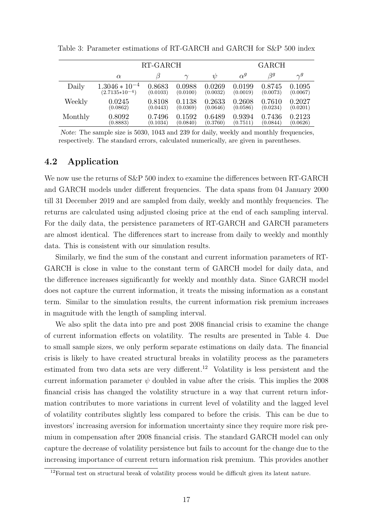|         | RT-GARCH           |          |          |          | <b>GARCH</b> |          |          |  |
|---------|--------------------|----------|----------|----------|--------------|----------|----------|--|
|         | $\alpha$           |          | $\sim$   | W        | $\alpha^g$   | 39       | $\sim g$ |  |
| Daily   | $1.3046 * 10^{-4}$ | 0.8683   | 0.0988   | 0.0269   | 0.0199       | 0.8745   | 0.1095   |  |
|         | $(2.7135*10^{-4})$ | (0.0103) | (0.0100) | (0.0032) | (0.0019)     | (0.0073) | (0.0067) |  |
| Weekly  | 0.0245             | 0.8108   | 0.1138   | 0.2633   | 0.2608       | 0.7610   | 0.2027   |  |
|         | (0.0862)           | (0.0443) | (0.0369) | (0.0646) | (0.0586)     | (0.0234) | (0.0201) |  |
| Monthly | 0.8092             | 0.7496   | 0.1592   | 0.6489   | 0.9394       | 0.7436   | 0.2123   |  |
|         | (0.8883)           | (0.1034) | (0.0840) | (0.3760) | (0.7511)     | (0.0844) | (0.0626) |  |

Table 3: Parameter estimations of RT-GARCH and GARCH for S&P 500 index

Note: The sample size is 5030, 1043 and 239 for daily, weekly and monthly frequencies, respectively. The standard errors, calculated numerically, are given in parentheses.

#### 4.2 Application

We now use the returns of S&P 500 index to examine the differences between RT-GARCH and GARCH models under different frequencies. The data spans from 04 January 2000 till 31 December 2019 and are sampled from daily, weekly and monthly frequencies. The returns are calculated using adjusted closing price at the end of each sampling interval. For the daily data, the persistence parameters of RT-GARCH and GARCH parameters are almost identical. The differences start to increase from daily to weekly and monthly data. This is consistent with our simulation results.

Similarly, we find the sum of the constant and current information parameters of RT-GARCH is close in value to the constant term of GARCH model for daily data, and the difference increases significantly for weekly and monthly data. Since GARCH model does not capture the current information, it treats the missing information as a constant term. Similar to the simulation results, the current information risk premium increases in magnitude with the length of sampling interval.

We also split the data into pre and post 2008 financial crisis to examine the change of current information effects on volatility. The results are presented in Table 4. Due to small sample sizes, we only perform separate estimations on daily data. The financial crisis is likely to have created structural breaks in volatility process as the parameters estimated from two data sets are very different.<sup>12</sup> Volatility is less persistent and the current information parameter  $\psi$  doubled in value after the crisis. This implies the 2008 financial crisis has changed the volatility structure in a way that current return information contributes to more variations in current level of volatility and the lagged level of volatility contributes slightly less compared to before the crisis. This can be due to investors' increasing aversion for information uncertainty since they require more risk premium in compensation after 2008 financial crisis. The standard GARCH model can only capture the decrease of volatility persistence but fails to account for the change due to the increasing importance of current return information risk premium. This provides another

<sup>&</sup>lt;sup>12</sup>Formal test on structural break of volatility process would be difficult given its latent nature.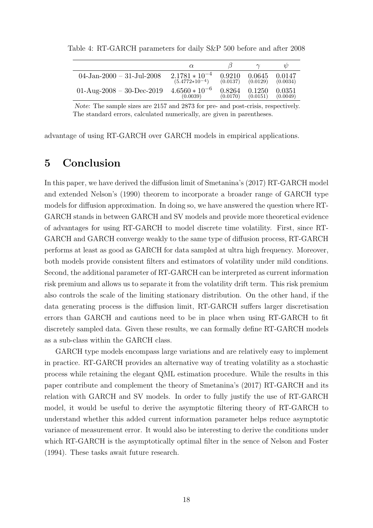|                              | $\alpha$           |          |          | $\psi$   |
|------------------------------|--------------------|----------|----------|----------|
| $04$ -Jan-2000 - 31-Jul-2008 | $2.1781 * 10^{-4}$ | 0.9210   | 0.0645   | 0.0147   |
|                              | $(5.4772*10^{-4})$ | (0.0137) | (0.0129) | (0.0034) |
| $01-Aug-2008-30-Dec-2019$    | $4.6560 * 10^{-6}$ | 0.8264   | 0.1250   | 0.0351   |
|                              | (0.0039)           | (0.0170) | (0.0151) | (0.0049) |

Table 4: RT-GARCH parameters for daily S&P 500 before and after 2008

Note: The sample sizes are 2157 and 2873 for pre- and post-crisis, respectively. The standard errors, calculated numerically, are given in parentheses.

advantage of using RT-GARCH over GARCH models in empirical applications.

## 5 Conclusion

In this paper, we have derived the diffusion limit of Smetanina's (2017) RT-GARCH model and extended Nelson's (1990) theorem to incorporate a broader range of GARCH type models for diffusion approximation. In doing so, we have answered the question where RT-GARCH stands in between GARCH and SV models and provide more theoretical evidence of advantages for using RT-GARCH to model discrete time volatility. First, since RT-GARCH and GARCH converge weakly to the same type of diffusion process, RT-GARCH performs at least as good as GARCH for data sampled at ultra high frequency. Moreover, both models provide consistent filters and estimators of volatility under mild conditions. Second, the additional parameter of RT-GARCH can be interpreted as current information risk premium and allows us to separate it from the volatility drift term. This risk premium also controls the scale of the limiting stationary distribution. On the other hand, if the data generating process is the diffusion limit, RT-GARCH suffers larger discretisation errors than GARCH and cautions need to be in place when using RT-GARCH to fit discretely sampled data. Given these results, we can formally define RT-GARCH models as a sub-class within the GARCH class.

GARCH type models encompass large variations and are relatively easy to implement in practice. RT-GARCH provides an alternative way of treating volatility as a stochastic process while retaining the elegant QML estimation procedure. While the results in this paper contribute and complement the theory of Smetanina's (2017) RT-GARCH and its relation with GARCH and SV models. In order to fully justify the use of RT-GARCH model, it would be useful to derive the asymptotic filtering theory of RT-GARCH to understand whether this added current information parameter helps reduce asymptotic variance of measurement error. It would also be interesting to derive the conditions under which RT-GARCH is the asymptotically optimal filter in the sence of Nelson and Foster (1994). These tasks await future research.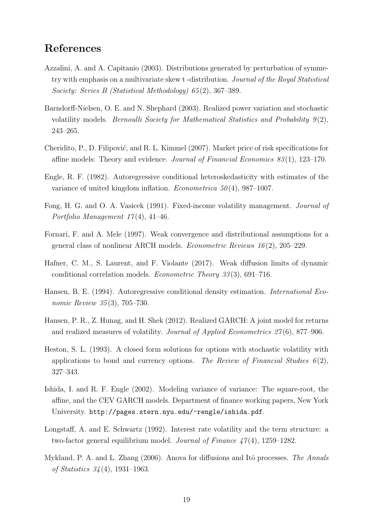## References

- Azzalini, A. and A. Capitanio (2003). Distributions generated by perturbation of symmetry with emphasis on a multivariate skew t -distribution. Journal of the Royal Statistical Society: Series B (Statistical Methodology) 65 (2), 367–389.
- Barndorff-Nielsen, O. E. and N. Shephard (2003). Realized power variation and stochastic volatility models. Bernoulli Society for Mathematical Statistics and Probability  $9(2)$ , 243–265.
- Cheridito, P., D. Filipović, and R. L. Kimmel (2007). Market price of risk specifications for affine models: Theory and evidence. *Journal of Financial Economics 83* $(1)$ , 123–170.
- Engle, R. F. (1982). Autoregressive conditional heteroskedasticity with estimates of the variance of united kingdom inflation. *Econometrica*  $50(4)$ , 987–1007.
- Fong, H. G. and O. A. Vasicek (1991). Fixed-income volatility management. Journal of Portfolio Management 17 (4), 41–46.
- Fornari, F. and A. Mele (1997). Weak convergence and distributional assumptions for a general class of nonlinear ARCH models. *Econometric Reviews 16* $(2)$ , 205–229.
- Hafner, C. M., S. Laurent, and F. Violante (2017). Weak diffusion limits of dynamic conditional correlation models. Econometric Theory 33 (3), 691–716.
- Hansen, B. E. (1994). Autoregressive conditional density estimation. International Economic Review 35(3), 705–730.
- Hansen, P. R., Z. Hunag, and H. Shek (2012). Realized GARCH: A joint model for returns and realized measures of volatility. Journal of Applied Econometrics 27(6), 877–906.
- Heston, S. L. (1993). A closed form solutions for options with stochastic volatility with applications to bond and currency options. The Review of Financial Studies  $6(2)$ , 327–343.
- Ishida, I. and R. F. Engle (2002). Modeling variance of variance: The square-root, the affine, and the CEV GARCH models. Department of finance working papers, New York University. http://pages.stern.nyu.edu/~rengle/ishida.pdf.
- Longstaff, A. and E. Schwartz (1992). Interest rate volatility and the term structure: a two-factor general equilibrium model. Journal of Finance  $47(4)$ , 1259–1282.
- Mykland, P. A. and L. Zhang (2006). Anova for diffusions and Itô processes. The Annals of Statistics 34 (4), 1931–1963.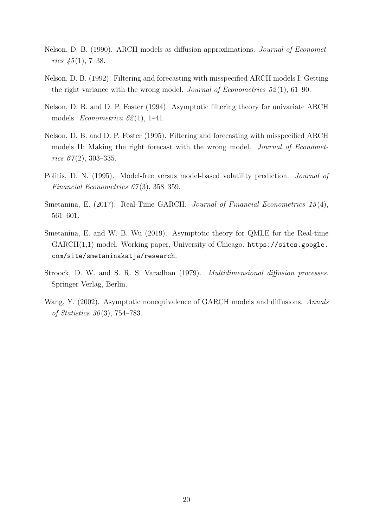- Nelson, D. B. (1990). ARCH models as diffusion approximations. Journal of Econometrics  $45(1)$ , 7–38.
- Nelson, D. B. (1992). Filtering and forecasting with misspecified ARCH models I: Getting the right variance with the wrong model. Journal of Econometrics  $52(1)$ , 61–90.
- Nelson, D. B. and D. P. Foster (1994). Asymptotic filtering theory for univariate ARCH models. *Econometrica* 62(1), 1–41.
- Nelson, D. B. and D. P. Foster (1995). Filtering and forecasting with misspecified ARCH models II: Making the right forecast with the wrong model. *Journal of Economet*rics  $67(2)$ , 303–335.
- Politis, D. N. (1995). Model-free versus model-based volatility prediction. *Journal of* Financial Econometrics 67 (3), 358–359.
- Smetanina, E. (2017). Real-Time GARCH. Journal of Financial Econometrics 15(4), 561–601.
- Smetanina, E. and W. B. Wu (2019). Asymptotic theory for QMLE for the Real-time GARCH(1,1) model. Working paper, University of Chicago. https://sites.google. com/site/smetaninakatja/research.
- Stroock, D. W. and S. R. S. Varadhan (1979). Multidimensional diffusion processes. Springer Verlag, Berlin.
- Wang, Y. (2002). Asymptotic nonequivalence of GARCH models and diffusions. Annals of Statistics 30 (3), 754–783.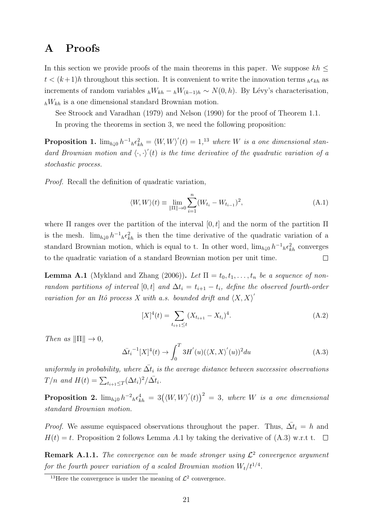## A Proofs

In this section we provide proofs of the main theorems in this paper. We suppose  $kh \leq$  $t < (k+1)h$  throughout this section. It is convenient to write the innovation terms  $he_{kh}$  as increments of random variables  $hW_{kh} - hW_{(k-1)h} \sim N(0, h)$ . By Lévy's characterisation,  $h_{h}W_{kh}$  is a one dimensional standard Brownian motion.

See Stroock and Varadhan (1979) and Nelson (1990) for the proof of Theorem 1.1.

In proving the theorems in section 3, we need the following proposition:

**Proposition 1.**  $\lim_{h\downarrow 0} h^{-1}{}_{h} \epsilon_{kh}^{2} = \langle W, W \rangle'(t) = 1, 13$  where W is a one dimensional standard Brownian motion and  $\langle \cdot, \cdot \rangle'(t)$  is the time derivative of the quadratic variation of a stochastic process.

Proof. Recall the definition of quadratic variation,

$$
\langle W, W \rangle(t) \equiv \lim_{\|\Pi\| \to 0} \sum_{i=1}^{n} (W_{t_i} - W_{t_{i-1}})^2,
$$
\n(A.1)

where  $\Pi$  ranges over the partition of the interval  $[0, t]$  and the norm of the partition  $\Pi$ is the mesh.  $\lim_{h\downarrow 0} h^{-1}{}_{h}\epsilon_{kh}^{2}$  is then the time derivative of the quadratic variation of a standard Brownian motion, which is equal to t. In other word,  $\lim_{h\downarrow 0} h^{-1}{}_{h} \epsilon_{kh}^2$  converges to the quadratic variation of a standard Brownian motion per unit time.  $\Box$ 

**Lemma A.1** (Mykland and Zhang (2006)). Let  $\Pi = t_0, t_1, \ldots, t_n$  be a sequence of nonrandom partitions of interval [0, t] and  $\Delta t_i = t_{i+1} - t_i$ , define the observed fourth-order variation for an Itô process X with a.s. bounded drift and  $\langle X, X \rangle'$ 

$$
[X]^4(t) = \sum_{t_{i+1} \le t} (X_{t_{i+1}} - X_{t_i})^4.
$$
 (A.2)

Then as  $\|\Pi\| \to 0$ ,

$$
\bar{\Delta t_i}^{-1}[X]^4(t) \to \int_0^T 3H'(u)(\langle X, X \rangle'(u))^2 du \tag{A.3}
$$

uniformly in probability, where  $\bar{\Delta t_i}$  is the average distance between successive observations  $T/n$  and  $H(t) = \sum_{t_{i+1} \leq T} (\Delta t_i)^2 / \bar{\Delta t_i}$ .

**Proposition 2.**  $\lim_{h\downarrow 0} h^{-2}{}_{h} \epsilon_{kh}^{4} = 3(\langle W, W \rangle'(t))^{2} = 3$ , where W is a one dimensional standard Brownian motion.

*Proof.* We assume equispaced observations throughout the paper. Thus,  $\overline{\Delta t}_i = h$  and  $H(t) = t$ . Proposition 2 follows Lemma A.1 by taking the derivative of (A.3) w.r.t t.  $\Box$ 

**Remark A.1.1.** The convergence can be made stronger using  $\mathcal{L}^2$  convergence argument for the fourth power variation of a scaled Brownian motion  $W_t/t^{1/4}$ .

<sup>&</sup>lt;sup>13</sup>Here the convergence is under the meaning of  $\mathcal{L}^2$  convergence.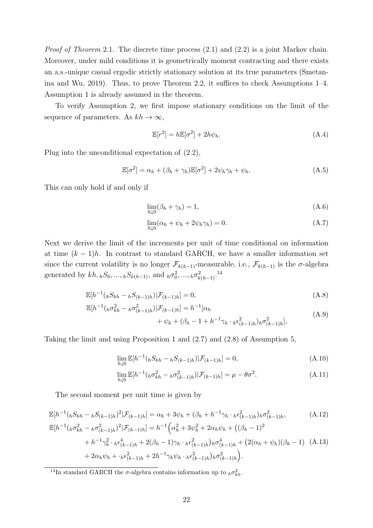Proof of Theorem 2.1. The discrete time process  $(2.1)$  and  $(2.2)$  is a joint Markov chain. Moreover, under mild conditions it is geometrically moment contracting and there exists an a.s.-unique casual ergodic strictly stationary solution at its true parameters (Smetanina and Wu, 2019). Thus, to prove Theorem 2.2, it suffices to check Assumptions 1–4. Assumption 1 is already assumed in the theorem.

To verify Assumption 2, we first impose stationary conditions on the limit of the sequence of parameters. As  $kh \to \infty$ ,

$$
\mathbb{E}[r^2] = h\mathbb{E}[\sigma^2] + 2h\psi_h.
$$
\n(A.4)

Plug into the unconditional expectation of (2.2),

$$
\mathbb{E}[\sigma^2] = \alpha_h + (\beta_h + \gamma_h)\mathbb{E}[\sigma^2] + 2\psi_h\gamma_h + \psi_h.
$$
 (A.5)

This can only hold if and only if

$$
\lim_{h \downarrow 0} (\beta_h + \gamma_h) = 1,\tag{A.6}
$$

$$
\lim_{h \downarrow 0} (\alpha_h + \psi_h + 2\psi_h \gamma_h) = 0. \tag{A.7}
$$

Next we derive the limit of the increments per unit of time conditional on information at time  $(k-1)h$ . In contrast to standard GARCH, we have a smaller information set since the current volatility is no longer  $\mathcal{F}_{k(h-1)}$ -measurable, i.e.,  $\mathcal{F}_{k(h-1)}$  is the  $\sigma$ -algebra generated by  $kh, hS_0, ..., hS_{k(h-1)}$ , and  $h\sigma_0^2, ..., h\sigma_{k(h-1)}^2$ .<sup>14</sup>

$$
\mathbb{E}[h^{-1}(hS_{kh} - hS_{(k-1)h})|\mathcal{F}_{(k-1)h}] = 0,
$$
\n(A.8)

$$
\mathbb{E}[h^{-1}(\hat{h}\sigma_{kh}^2 - h\sigma_{(k-1)h}^2)|\mathcal{F}_{(k-1)h}] = h^{-1}[\alpha_h + \psi_h + (\beta_h - 1 + h^{-1}\gamma_h \cdot h\epsilon_{(k-1)h}^2)\delta_{(k-1)h}^2],
$$
\n(A.9)

Taking the limit and using Proposition 1 and (2.7) and (2.8) of Assumption 5,

$$
\lim_{h \downarrow 0} \mathbb{E}[h^{-1}(_hS_{kh} - _hS_{(k-1)h}) | \mathcal{F}_{(k-1)h}] = 0,
$$
\n(A.10)

$$
\lim_{h \downarrow 0} \mathbb{E}[h^{-1}({}_{h}\sigma_{kh}^{2} - {}_{h}\sigma_{(k-1)h}^{2}) | \mathcal{F}_{(k-1)h}] = \mu - \theta \sigma^{2}.
$$
\n(A.11)

The second moment per unit time is given by

$$
\mathbb{E}[h^{-1}(hS_{kh} - hS_{(k-1)h})^{2} | \mathcal{F}_{(k-1)h}] = \alpha_{h} + 3\psi_{h} + (\beta_{h} + h^{-1}\gamma_{h} \cdot {}_{h}\epsilon_{(k-1)h}^{2})h\sigma_{(k-1)h}^{2},
$$
\n(A.12)\n
$$
\mathbb{E}[h^{-1}(h\sigma_{kh}^{2} - h\sigma_{(k-1)h}^{2})^{2} | \mathcal{F}_{(k-1)h}] = h^{-1}\left(\alpha_{h}^{2} + 3\psi_{h}^{2} + 2\alpha_{h}\psi_{h} + ((\beta_{h} - 1)^{2} + h^{-1}\gamma_{h}^{2} \cdot {}_{h}\epsilon_{(k-1)h}^{4} + 2(\beta_{h} - 1)\gamma_{h} \cdot {}_{h}\epsilon_{(k-1)h}^{2})h\sigma_{(k-1)h}^{4} + (2(\alpha_{h} + \psi_{h})(\beta_{h} - 1) \quad (A.13)\n+ 2\alpha_{h}\psi_{h} + {}_{h}\epsilon_{(k-1)h}^{2} + 2h^{-1}\gamma_{h}\psi_{h} \cdot {}_{h}\epsilon_{(k-1)h}^{2})h\sigma_{(k-1)h}^{2} \right].
$$

<sup>&</sup>lt;sup>14</sup>In standard GARCH the  $\sigma$ -algebra contains information up to  $h\sigma_{kh}^2$ .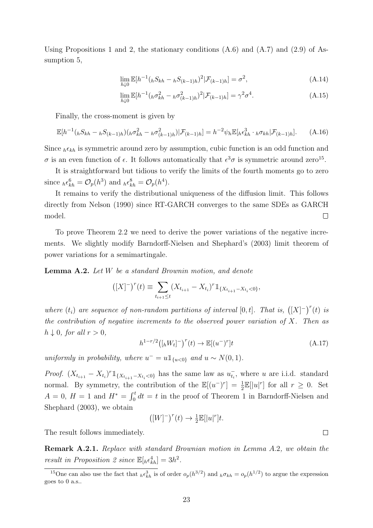Using Propositions 1 and 2, the stationary conditions (A.6) and (A.7) and (2.9) of Assumption 5,

$$
\lim_{h \downarrow 0} \mathbb{E}[h^{-1}(_hS_{kh} - _hS_{(k-1)h})^2 | \mathcal{F}_{(k-1)h}] = \sigma^2,
$$
\n(A.14)

$$
\lim_{h \downarrow 0} \mathbb{E}[h^{-1}({}_{h}\sigma_{kh}^{2} - {}_{h}\sigma_{(k-1)h}^{2})^{2} | \mathcal{F}_{(k-1)h}] = \gamma^{2} \sigma^{4}.
$$
\n(A.15)

Finally, the cross-moment is given by

$$
\mathbb{E}[h^{-1}(hS_{kh} - hS_{(k-1)h})(h\sigma_{kh}^2 - h\sigma_{(k-1)h}^2)|\mathcal{F}_{(k-1)h}] = h^{-2}\psi_h \mathbb{E}[h\epsilon_{kh}^3 \cdot h\sigma_{kh}|\mathcal{F}_{(k-1)h}].
$$
 (A.16)

Since  ${}_{h}\epsilon_{kh}$  is symmetric around zero by assumption, cubic function is an odd function and σ is an even function of  $\epsilon$ . It follows automatically that  $\epsilon^3 \sigma$  is symmetric around zero<sup>15</sup>.

It is straightforward but tidious to verify the limits of the fourth moments go to zero since  ${}_{h}\epsilon_{kh}^6 = \mathcal{O}_p(h^3)$  and  ${}_{h}\epsilon_{kh}^8 = \mathcal{O}_p(h^4)$ .

It remains to verify the distributional uniqueness of the diffusion limit. This follows directly from Nelson (1990) since RT-GARCH converges to the same SDEs as GARCH model.  $\Box$ 

To prove Theorem 2.2 we need to derive the power variations of the negative increments. We slightly modify Barndorff-Nielsen and Shephard's (2003) limit theorem of power variations for a semimartingale.

Lemma A.2. Let W be a standard Brownin motion, and denote

$$
([X]^{-})^{r}(t) \equiv \sum_{t_{i+1} \leq t} (X_{t_{i+1}} - X_{t_i})^{r} \mathbb{1}_{\{X_{t_{i+1}} - X_{t_i} < 0\}},
$$

where  $(t_i)$  are sequence of non-random partitions of interval  $[0,t]$ . That is,  $([X]^{-})^r(t)$  is the contribution of negative increments to the observed power variation of  $X$ . Then as  $h \downarrow 0$ , for all  $r > 0$ ,

$$
h^{1-r/2}([{}_hW_t]^-)^r(t) \to \mathbb{E}[(u^-)^r]t
$$
\n(A.17)

uniformly in probability, where  $u^- = u \mathbb{1}_{\{u < 0\}}$  and  $u \sim N(0, 1)$ .

*Proof.*  $(X_{t_{i+1}} - X_{t_i})^r \mathbb{1}_{\{X_{t_{i+1}} - X_{t_i} < 0\}}$  has the same law as  $u_{t_i}^-,$  where u are i.i.d. standard normal. By symmetry, the contribution of the  $\mathbb{E}[(u^-)^r] = \frac{1}{2} \mathbb{E}[|u|^r]$  for all  $r \geq 0$ . Set  $A = 0, H = 1$  and  $H^* = \int_0^t dt = t$  in the proof of Theorem 1 in Barndorff-Nielsen and Shephard (2003), we obtain

$$
([W]^-)^r(t) \to \frac{1}{2} \mathbb{E}[|u|^r]t.
$$

The result follows immediately.

Remark A.2.1. Replace with standard Brownian motion in Lemma A.2, we obtain the result in Proposition 2 since  $\mathbb{E}[h \epsilon_{kh}^4] = 3h^2$ .

 $\Box$ 

<sup>&</sup>lt;sup>15</sup>One can also use the fact that  ${}_{h} \epsilon_{kh}^{3}$  is of order  $o_p(h^{3/2})$  and  ${}_{h} \sigma_{kh} = o_p(h^{1/2})$  to argue the expression goes to 0 a.s..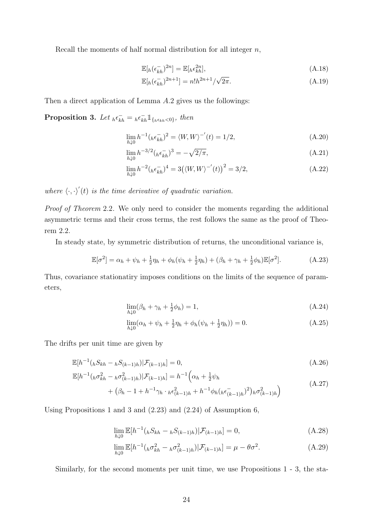Recall the moments of half normal distribution for all integer  $n$ ,

$$
\mathbb{E}[h(\epsilon_{kh}^{-})^{2n}] = \mathbb{E}[h\epsilon_{kh}^{2n}],\tag{A.18}
$$

$$
\mathbb{E}[h(\epsilon_{kh}^{-})^{2n+1}] = n!h^{2n+1}/\sqrt{2\pi}.
$$
\n(A.19)

Then a direct application of Lemma A.2 gives us the followings:

**Proposition 3.** Let  $_{h} \epsilon_{kh}^{-} = {}_{h} \epsilon_{kh}^{-} \mathbb{1}_{\{h \epsilon_{kh} < 0\}},$  then

$$
\lim_{h \downarrow 0} h^{-1}({}_h \epsilon_{kh}^{-})^2 = \langle W, W \rangle^{-1}(t) = 1/2, \tag{A.20}
$$

$$
\lim_{h \downarrow 0} h^{-3/2} (h \epsilon_{kh}^{-})^3 = -\sqrt{2/\pi},\tag{A.21}
$$

$$
\lim_{h \downarrow 0} h^{-2} (h \epsilon_{kh}^{-})^4 = 3(\langle W, W \rangle^{-1}(t))^2 = 3/2, \tag{A.22}
$$

where  $\langle \cdot, \cdot \rangle'(t)$  is the time derivative of quadratic variation.

Proof of Theorem 2.2. We only need to consider the moments regarding the additional asymmetric terms and their cross terms, the rest follows the same as the proof of Theorem 2.2.

In steady state, by symmetric distribution of returns, the unconditional variance is,

$$
\mathbb{E}[\sigma^2] = \alpha_h + \psi_h + \frac{1}{2}\eta_h + \phi_h(\psi_h + \frac{1}{2}\eta_h) + (\beta_h + \gamma_h + \frac{1}{2}\phi_h)\mathbb{E}[\sigma^2].\tag{A.23}
$$

Thus, covariance stationatiry imposes conditions on the limits of the sequence of parameters,

$$
\lim_{h \downarrow 0} (\beta_h + \gamma_h + \frac{1}{2} \phi_h) = 1,\tag{A.24}
$$

$$
\lim_{h \downarrow 0} (\alpha_h + \psi_h + \frac{1}{2} \eta_h + \phi_h(\psi_h + \frac{1}{2} \eta_h)) = 0.
$$
\n(A.25)

The drifts per unit time are given by

$$
\mathbb{E}[h^{-1}(hS_{kh} - hS_{(k-1)h})|\mathcal{F}_{(k-1)h}] = 0,
$$
\n(A.26)

$$
\mathbb{E}[h^{-1}({}_{h}\sigma_{kh}^{2} - {}_{h}\sigma_{(k-1)h}^{2}) | \mathcal{F}_{(k-1)h}] = h^{-1} \left(\alpha_{h} + \frac{1}{2}\psi_{h}\right)
$$
\n(A 27)

$$
+ (\beta_h - 1 + h^{-1} \gamma_h \cdot {}_h \epsilon^2_{(k-1)h} + h^{-1} \phi_h ({}_h \epsilon^-_{(k-1)h})^2)_h \sigma^2_{(k-1)h} \tag{A.27}
$$

Using Propositions 1 and 3 and (2.23) and (2.24) of Assumption 6,

$$
\lim_{h \downarrow 0} \mathbb{E}[h^{-1}(_hS_{kh} - _hS_{(k-1)h}) | \mathcal{F}_{(k-1)h}] = 0,
$$
\n(A.28)

$$
\lim_{h \downarrow 0} \mathbb{E}[h^{-1}({}_{h}\sigma_{kh}^{2} - {}_{h}\sigma_{(k-1)h}^{2}) | \mathcal{F}_{(k-1)h}] = \mu - \theta \sigma^{2}.
$$
\n(A.29)

Similarly, for the second moments per unit time, we use Propositions 1 - 3, the sta-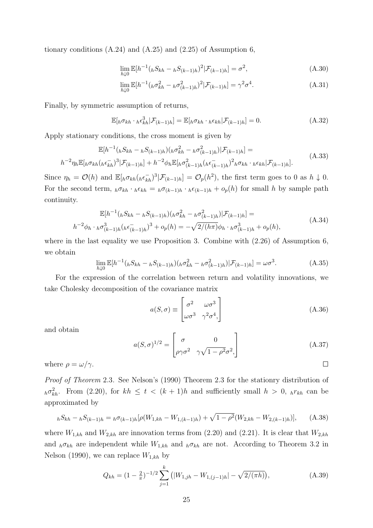tionary conditions  $(A.24)$  and  $(A.25)$  and  $(2.25)$  of Assumption 6,

$$
\lim_{h \downarrow 0} \mathbb{E}[h^{-1}(_hS_{kh} - _hS_{(k-1)h})^2 | \mathcal{F}_{(k-1)h}] = \sigma^2,
$$
\n(A.30)

$$
\lim_{h \downarrow 0} \mathbb{E}[h^{-1}({}_{h}\sigma_{kh}^{2} - {}_{h}\sigma_{(k-1)h}^{2})^{2} | \mathcal{F}_{(k-1)h}] = \gamma^{2} \sigma^{4}.
$$
\n(A.31)

Finally, by symmetric assumption of returns,

$$
\mathbb{E}[h\sigma_{kh} \cdot h \epsilon_{kh}^3 | \mathcal{F}_{(k-1)h}] = \mathbb{E}[h\sigma_{kh} \cdot h \epsilon_{kh} | \mathcal{F}_{(k-1)h}] = 0.
$$
 (A.32)

Apply stationary conditions, the cross moment is given by

$$
\mathbb{E}[h^{-1}(_{h}S_{kh} - _{h}S_{(k-1)h})(_{h}\sigma_{kh}^{2} - _{h}\sigma_{(k-1)h}^{2})|\mathcal{F}_{(k-1)h}] =
$$
\n
$$
h^{-2}\eta_{h}\mathbb{E}[{}_{h}\sigma_{kh}(_{h}\epsilon_{kh}^{-})^{3}|\mathcal{F}_{(k-1)h}| + h^{-2}\phi_{h}\mathbb{E}[{}_{h}\sigma_{(k-1)h}^{2}(_{h}\epsilon_{(k-1)h}^{-})^{2}{}_{h}\sigma_{kh} \cdot {}_{h}\epsilon_{kh}|\mathcal{F}_{(k-1)h}].
$$
\n(A.33)

Since  $\eta_h = \mathcal{O}(h)$  and  $\mathbb{E}_{h}[\sigma_{kh}(h\epsilon_{kh}^{-})^3 | \mathcal{F}_{(k-1)h}] = \mathcal{O}_p(h^2)$ , the first term goes to 0 as  $h \downarrow 0$ . For the second term,  $h \sigma_{kh} \cdot h \epsilon_{kh} = h \sigma_{(k-1)h} \cdot h \epsilon_{(k-1)h} + o_p(h)$  for small h by sample path continuity.

$$
\mathbb{E}[h^{-1}(hS_{kh} - hS_{(k-1)h})(h\sigma_{kh}^2 - h\sigma_{(k-1)h}^2)|\mathcal{F}_{(k-1)h}] =
$$
  

$$
-2\phi_h \cdot h\sigma_{(k-1)h}^3(h\epsilon_{(k-1)h}^-)^3 + o_p(h) = -\sqrt{2/(h\pi)}\phi_h \cdot h\sigma_{(k-1)h}^3 + o_p(h),
$$
 (A.34)

where in the last equality we use Proposition 3. Combine with (2.26) of Assumption 6, we obtain

$$
\lim_{h \downarrow 0} \mathbb{E}[h^{-1}(_hS_{kh} - _hS_{(k-1)h})(h\sigma_{kh}^2 - _h\sigma_{(k-1)h}^2)|\mathcal{F}_{(k-1)h}] = \omega\sigma^3.
$$
\n(A.35)

For the expression of the correlation between return and volatility innovations, we take Cholesky decomposition of the covariance matrix

$$
a(S,\sigma) \equiv \begin{bmatrix} \sigma^2 & \omega \sigma^3 \\ \omega \sigma^3 & \gamma^2 \sigma^4, \end{bmatrix}
$$
 (A.36)

and obtain

$$
a(S,\sigma)^{1/2} = \begin{bmatrix} \sigma & 0\\ \rho \gamma \sigma^2 & \gamma \sqrt{1 - \rho^2} \sigma^2, \end{bmatrix}
$$
 (A.37)

where  $\rho = \omega/\gamma$ .

h

Proof of Theorem 2.3. See Nelson's (1990) Theorem 2.3 for the stationry distribution of  $_{h}\sigma_{kh}^{2}$ . From (2.20), for  $kh \leq t \leq (k+1)h$  and sufficiently small  $h > 0$ ,  $_{h}r_{kh}$  can be approximated by

$$
hS_{kh} - hS_{(k-1)h} = h\sigma_{(k-1)h}[\rho(W_{1,kh} - W_{1,(k-1)h}) + \sqrt{1 - \rho^2}(W_{2,kh} - W_{2,(k-1)h})], \quad (A.38)
$$

where  $W_{1,kh}$  and  $W_{2,kh}$  are innovation terms from (2.20) and (2.21). It is clear that  $W_{2,kh}$ and  $h \sigma_{kh}$  are independent while  $W_{1,kh}$  and  $h \sigma_{kh}$  are not. According to Theorem 3.2 in Nelson (1990), we can replace  $W_{1,kh}$  by

$$
Q_{kh} = (1 - \frac{2}{\pi})^{-1/2} \sum_{j=1}^{k} (|W_{1,jh} - W_{1,(j-1)h}| - \sqrt{2/(\pi h)}), \tag{A.39}
$$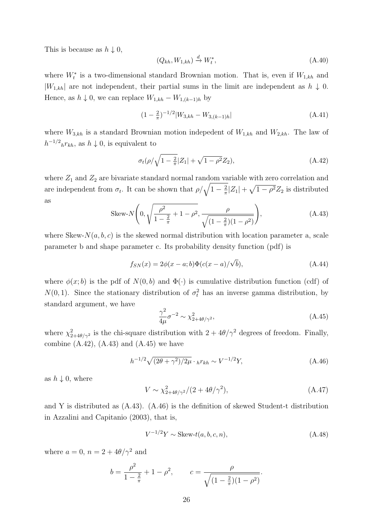This is because as  $h \downarrow 0$ ,

$$
(Q_{kh}, W_{1,kh}) \stackrel{d}{\rightarrow} W_t^*,\tag{A.40}
$$

where  $W_t^*$  is a two-dimensional standard Brownian motion. That is, even if  $W_{1,kh}$  and  $|W_{1,kh}|$  are not independent, their partial sums in the limit are independent as  $h \downarrow 0$ . Hence, as  $h \downarrow 0$ , we can replace  $W_{1,kh} - W_{1,(k-1)h}$  by

$$
(1 - \frac{2}{\pi})^{-1/2} |W_{3,kh} - W_{3,(k-1)h}| \tag{A.41}
$$

where  $W_{3,kh}$  is a standard Brownian motion indepedent of  $W_{1,kh}$  and  $W_{2,kh}$ . The law of  $h^{-1/2}{}_h r_{kh}$ , as  $h \downarrow 0$ , is equivalent to

$$
\sigma_t(\rho/\sqrt{1-\frac{2}{\pi}}|Z_1| + \sqrt{1-\rho^2}Z_2),\tag{A.42}
$$

where  $Z_1$  and  $Z_2$  are bivariate standard normal random variable with zero correlation and are independent from  $\sigma_t$ . It can be shown that  $\rho/\sqrt{1-\frac{2}{\pi}}$  $\frac{2}{\pi}|Z_1| + \sqrt{1-\rho^2}Z_2$  is distributed as

Skew-N
$$
\left(0, \sqrt{\frac{\rho^2}{1-\frac{2}{\pi}} + 1 - \rho^2}, \frac{\rho}{\sqrt{(1-\frac{2}{\pi})(1-\rho^2)}}\right)
$$
, (A.43)

where Skew- $N(a, b, c)$  is the skewed normal distribution with location parameter a, scale parameter b and shape parameter c. Its probability density function (pdf) is

$$
f_{SN}(x) = 2\phi(x - a; b)\Phi(c(x - a)/\sqrt{b}),
$$
\n(A.44)

where  $\phi(x;b)$  is the pdf of  $N(0,b)$  and  $\Phi(\cdot)$  is cumulative distribution function (cdf) of  $N(0, 1)$ . Since the stationary distribution of  $\sigma_t^2$  has an inverse gamma distribution, by standard argument, we have

$$
\frac{\gamma^2}{4\mu}\sigma^{-2} \sim \chi^2_{2+4\theta/\gamma^2},\tag{A.45}
$$

where  $\chi^2_{2+4\theta/\gamma^2}$  is the chi-square distribution with  $2+4\theta/\gamma^2$  degrees of freedom. Finally, combine  $(A.42)$ ,  $(A.43)$  and  $(A.45)$  we have

$$
h^{-1/2}\sqrt{(2\theta + \gamma^2)/2\mu} \cdot h r_{kh} \sim V^{-1/2}Y,\tag{A.46}
$$

as  $h \downarrow 0$ , where

$$
V \sim \chi_{2+4\theta/\gamma^2}^2/(2+4\theta/\gamma^2),\tag{A.47}
$$

and Y is distributed as (A.43). (A.46) is the definition of skewed Student-t distribution in Azzalini and Capitanio (2003), that is,

$$
V^{-1/2}Y \sim \text{Skew-}t(a, b, c, n),\tag{A.48}
$$

where  $a = 0$ ,  $n = 2 + 4\theta/\gamma^2$  and

$$
b = \frac{\rho^2}{1 - \frac{2}{\pi}} + 1 - \rho^2, \qquad c = \frac{\rho}{\sqrt{(1 - \frac{2}{\pi})(1 - \rho^2)}}.
$$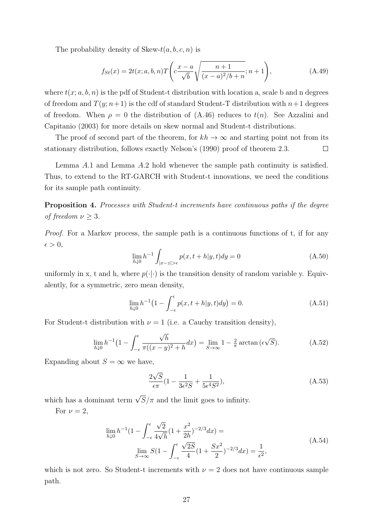The probability density of Skew- $t(a, b, c, n)$  is

$$
f_{St}(x) = 2t(x;a,b,n)T\left(c\frac{x-a}{\sqrt{b}}\sqrt{\frac{n+1}{(x-a)^2/b+n}};n+1\right),\tag{A.49}
$$

where  $t(x; a, b, n)$  is the pdf of Student-t distribution with location a, scale b and n degrees of freedom and  $T(y; n+1)$  is the cdf of standard Student-T distribution with  $n+1$  degrees of freedom. When  $\rho = 0$  the distribution of (A.46) reduces to  $t(n)$ . See Azzalini and Capitanio (2003) for more details on skew normal and Student-t distributions.

The proof of second part of the theorem, for  $kh \to \infty$  and starting point not from its stationary distribution, follows exactly Nelson's (1990) proof of theorem 2.3.  $\Box$ 

Lemma A.1 and Lemma A.2 hold whenever the sample path continuity is satisfied. Thus, to extend to the RT-GARCH with Student-t innovations, we need the conditions for its sample path continuity.

Proposition 4. Processes with Student-t increments have continuous paths if the degree of freedom  $\nu > 3$ .

Proof. For a Markov process, the sample path is a continuous functions of t, if for any  $\epsilon > 0$ ,

$$
\lim_{h \downarrow 0} h^{-1} \int_{|x-z| > \epsilon} p(x, t+h|y, t) dy = 0
$$
\n(A.50)

uniformly in x, t and h, where  $p(\cdot|\cdot)$  is the transition density of random variable y. Equivalently, for a symmetric, zero mean density,

$$
\lim_{h \downarrow 0} h^{-1} \left( 1 - \int_{-\epsilon}^{\epsilon} p(x, t + h | y, t) dy \right) = 0.
$$
\n(A.51)

For Student-t distribution with  $\nu = 1$  (i.e. a Cauchy transition density),

$$
\lim_{h \downarrow 0} h^{-1} \left( 1 - \int_{-\epsilon}^{\epsilon} \frac{\sqrt{h}}{\pi((x-y)^2 + h} dx \right) = \lim_{S \to \infty} 1 - \frac{2}{\pi} \arctan\left(\epsilon \sqrt{S}\right). \tag{A.52}
$$

Expanding about  $S = \infty$  we have,

$$
\frac{2\sqrt{S}}{\epsilon \pi} (1 - \frac{1}{3\epsilon^2 S} + \frac{1}{5\epsilon^4 S^2}),\tag{A.53}
$$

which has a dominant term  $\sqrt{S}/\pi$  and the limit goes to infinity.

For  $\nu = 2$ ,

$$
\lim_{h \downarrow 0} h^{-1} (1 - \int_{-\epsilon}^{\epsilon} \frac{\sqrt{2}}{4\sqrt{h}} (1 + \frac{x^2}{2h})^{-2/3} dx) =
$$
\n
$$
\lim_{S \to \infty} S(1 - \int_{-\epsilon}^{\epsilon} \frac{\sqrt{2S}}{4} (1 + \frac{Sx^2}{2})^{-2/3} dx) = \frac{1}{\epsilon^2},
$$
\n(A.54)

which is not zero. So Student-t increments with  $\nu = 2$  does not have continuous sample path.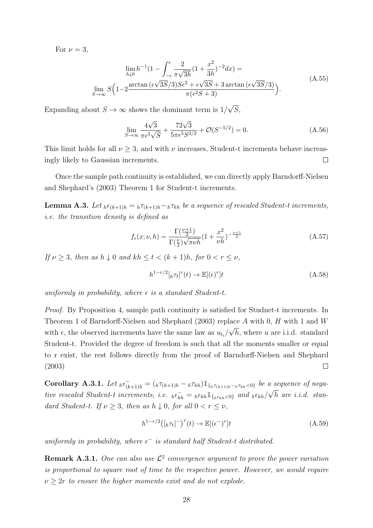For  $\nu = 3$ ,

$$
\lim_{h \downarrow 0} h^{-1} \left( 1 - \int_{-\epsilon}^{\epsilon} \frac{2}{\pi \sqrt{3h}} \left( 1 + \frac{x^2}{3h} \right)^{-2} dx \right) =
$$
\n
$$
\lim_{S \to \infty} S \left( 1 - 2 \frac{\arctan \left( \epsilon \sqrt{3S/3} \right) S \epsilon^2 + \epsilon \sqrt{3S} + 3 \arctan \left( \epsilon \sqrt{3S/3} \right)}{\pi (\epsilon^2 S + 3)} \right).
$$
\n(A.55)

Expanding about  $S \to \infty$  shows the dominant term is  $1/$ √ S,

$$
\lim_{S \to \infty} \frac{4\sqrt{3}}{\pi \epsilon^3 \sqrt{S}} + \frac{72\sqrt{3}}{5\pi \epsilon^5 S^{3/2}} + \mathcal{O}(S^{-5/2}) = 0.
$$
 (A.56)

This limit holds for all  $\nu > 3$ , and with  $\nu$  increases, Student-t increments behave increasingly likely to Gaussian increments.  $\Box$ 

Once the sample path continuity is established, we can directly apply Barndorff-Nielsen and Shephard's (2003) Theorem 1 for Student-t increments.

**Lemma A.3.** Let  $_{h} \epsilon_{(k+1)h} = {}_{h} \tau_{(k+1)h} - {}_{h} \tau_{kh}$  be a sequence of rescaled Student-t increments, i.e. the transition density is defined as

$$
f_{\epsilon}(x;\nu,h) = \frac{\Gamma(\frac{\nu+1}{2})}{\Gamma(\frac{\nu}{2})\sqrt{\pi\nu h}}\left(1+\frac{x^2}{\nu h}\right)^{-\frac{\nu+1}{2}}
$$
(A.57)

If  $\nu \geq 3$ , then as  $h \downarrow 0$  and  $kh \leq t < (k+1)h$ , for  $0 < r < \nu$ ,

$$
h^{1-r/2}[h\tau_t]^r(t) \to \mathbb{E}[(\epsilon)^r]t
$$
\n(A.58)

uniformly in probability, where  $\epsilon$  is a standard Student-t.

Proof. By Proposition 4, sample path continuity is satisfied for Studnet-t increments. In Theorem 1 of Barndorff-Nielsen and Shephard (2003) replace A with 0, H with 1 and W √ with  $\epsilon$ , the observed increments have the same law as  $u_{t_i}/$  $h$ , where  $u$  are i.i.d. standard Student-t. Provided the degree of freedom is such that all the moments smaller or equal to r exist, the rest follows directly from the proof of Barndorff-Nielsen and Shephard (2003)  $\Box$ 

Corollary A.3.1. Let  $_{h} \epsilon_{(k+1)h}^{-} = (h \tau_{(k+1)h} - h \tau_{kh}) \mathbb{1}_{\{h \tau_{(k+1)h} - h \tau_{kh} < 0\}}$  be a sequence of negative rescaled Student-t increments, i.e.  $_{h} \epsilon_{kh} = {}_{h} \epsilon_{kh} \mathbb{1}_{\{h \epsilon_{kh} < 0\}}$  and  $_{h} \epsilon_{kh} / \sqrt{h}$  are i.i.d. standard Student-t. If  $\nu \geq 3$ , then as  $h \downarrow 0$ , for all  $0 < r \leq \nu$ ,

$$
h^{1-r/2}([\hbar \tau_t]^-)^r(t) \to \mathbb{E}[(\epsilon^-)^r]t \tag{A.59}
$$

uniformly in probability, where  $\epsilon^-$  is standard half Student-t distributed.

**Remark A.3.1.** One can also use  $\mathcal{L}^2$  convergence argument to prove the power variation is proportional to square root of time to the respective power. However, we would require  $\nu \geq 2r$  to ensure the higher moments exist and do not explode.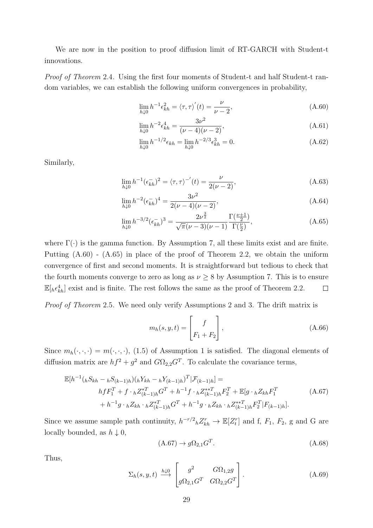We are now in the position to proof diffusion limit of RT-GARCH with Student-t innovations.

Proof of Theorem 2.4. Using the first four moments of Student-t and half Student-t random variables, we can establish the following uniform convergences in probability,

$$
\lim_{h \downarrow 0} h^{-1} \epsilon_{kh}^2 = \langle \tau, \tau \rangle'(t) = \frac{\nu}{\nu - 2},\tag{A.60}
$$

$$
\lim_{h \downarrow 0} h^{-2} \epsilon_{kh}^4 = \frac{3\nu^2}{(\nu - 4)(\nu - 2)},\tag{A.61}
$$

$$
\lim_{h \downarrow 0} h^{-1/2} \epsilon_{kh} = \lim_{h \downarrow 0} h^{-2/3} \epsilon_{kh}^3 = 0.
$$
\n(A.62)

Similarly,

$$
\lim_{h \downarrow 0} h^{-1}(\epsilon_{kh}^{-})^2 = \langle \tau, \tau \rangle^{-1}(t) = \frac{\nu}{2(\nu - 2)},\tag{A.63}
$$

$$
\lim_{h \downarrow 0} h^{-2} (\epsilon_{kh}^{-})^4 = \frac{3\nu^2}{2(\nu - 4)(\nu - 2)},
$$
\n(A.64)

$$
\lim_{h \downarrow 0} h^{-3/2} (\epsilon_{kh}^{-})^3 = \frac{2\nu^{\frac{3}{2}}}{\sqrt{\pi}(\nu - 3)(\nu - 1)} \frac{\Gamma(\frac{\nu + 1}{2})}{\Gamma(\frac{\nu}{2})},\tag{A.65}
$$

where  $\Gamma(\cdot)$  is the gamma function. By Assumption 7, all these limits exist and are finite. Putting (A.60) - (A.65) in place of the proof of Theorem 2.2, we obtain the uniform convergence of first and second moments. It is straightforward but tedious to check that the fourth moments converge to zero as long as  $\nu \geq 8$  by Assumption 7. This is to ensure  $\mathbb{E}[h \epsilon_{kh}^4]$  exist and is finite. The rest follows the same as the proof of Theorem 2.2.  $\Box$ 

Proof of Theorem 2.5. We need only verify Assumptions 2 and 3. The drift matrix is

$$
m_h(s, y, t) = \begin{bmatrix} f \\ F_1 + F_2 \end{bmatrix}, \tag{A.66}
$$

Since  $m_h(\cdot, \cdot, \cdot) = m(\cdot, \cdot, \cdot)$ , (1.5) of Assumption 1 is satisfied. The diagonal elements of diffusion matrix are  $hf^2 + g^2$  and  $G\Omega_{2,2}G^T$ . To calculate the covariance terms,

$$
\mathbb{E}[h^{-1}(hS_{kh} - hS_{(k-1)h})(hY_{kh} - hY_{(k-1)h})^T | \mathcal{F}_{(k-1)h}] =
$$
  
\n
$$
hfF_1^T + f \cdot hZ_{(k-1)h}^{*T}G^T + h^{-1}f \cdot hZ_{(k-1)h}^{**T}F_2^T + \mathbb{E}[g \cdot hZ_{kh}F_1^T + h^{-1}g \cdot hZ_{kh}^* \cdot hZ_{(k-1)h}^{**T}]
$$
  
\n
$$
+ h^{-1}g \cdot hZ_{kh} \cdot hZ_{(k-1)h}^{*T}G^T + h^{-1}g \cdot hZ_{kh} \cdot hZ_{(k-1)h}^{**T}F_2^T | F_{(k-1)h}].
$$
\n(A.67)

Since we assume sample path continuity,  $h^{-r/2}hZ_{kh}^r \to \mathbb{E}[Z_t^r]$  and f,  $F_1$ ,  $F_2$ , g and G are locally bounded, as  $h \downarrow 0$ ,

$$
(A.67) \rightarrow g\Omega_{2,1}G^T. \tag{A.68}
$$

Thus,

$$
\Sigma_h(s, y, t) \stackrel{h \downarrow 0}{\longrightarrow} \begin{bmatrix} g^2 & G\Omega_{1,2}g \\ g\Omega_{2,1}G^T & G\Omega_{2,2}G^T \end{bmatrix} . \tag{A.69}
$$